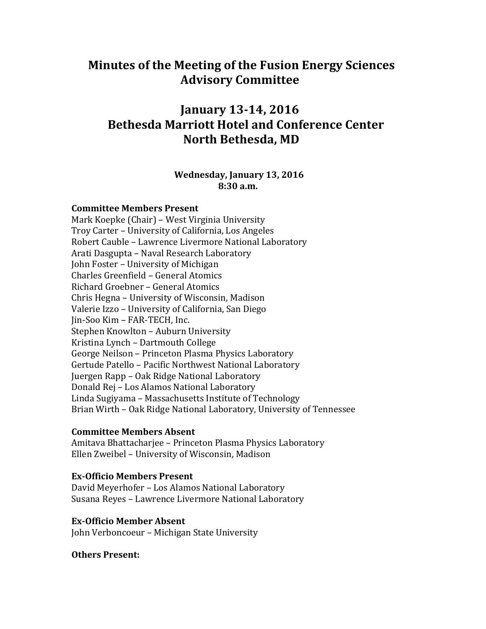# **Minutes of the Meeting of the Fusion Energy Sciences Advisory Committee**

# **January 13-14, 2016 Bethesda Marriott Hotel and Conference Center North Bethesda, MD**

#### **Wednesday, January 13, 2016 8:30 a.m.**

#### **Committee Members Present**

Mark Koepke (Chair) – West Virginia University Troy Carter – University of California, Los Angeles Robert Cauble – Lawrence Livermore National Laboratory Arati Dasgupta – Naval Research Laboratory John Foster – University of Michigan Charles Greenfield – General Atomics Richard Groebner – General Atomics Chris Hegna – University of Wisconsin, Madison Valerie Izzo – University of California, San Diego Jin-Soo Kim – FAR-TECH, Inc. Stephen Knowlton – Auburn University Kristina Lynch – Dartmouth College George Neilson – Princeton Plasma Physics Laboratory Gertude Patello – Pacific Northwest National Laboratory Juergen Rapp – Oak Ridge National Laboratory Donald Rej – Los Alamos National Laboratory Linda Sugiyama – Massachusetts Institute of Technology Brian Wirth – Oak Ridge National Laboratory, University of Tennessee

#### **Committee Members Absent**

Amitava Bhattacharjee – Princeton Plasma Physics Laboratory Ellen Zweibel – University of Wisconsin, Madison

#### **Ex-Officio Members Present**

David Meyerhofer – Los Alamos National Laboratory Susana Reyes – Lawrence Livermore National Laboratory

#### **Ex-Officio Member Absent**

John Verboncoeur – Michigan State University

#### **Others Present:**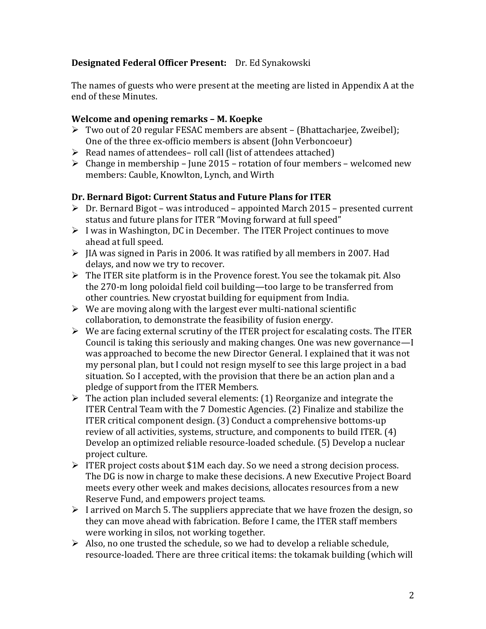## **Designated Federal Officer Present:** Dr. Ed Synakowski

The names of guests who were present at the meeting are listed in Appendix A at the end of these Minutes.

#### **Welcome and opening remarks – M. Koepke**

- Two out of 20 regular FESAC members are absent (Bhattacharjee, Zweibel); One of the three ex-officio members is absent (John Verboncoeur)
- $\triangleright$  Read names of attendees– roll call (list of attendees attached)
- $\triangleright$  Change in membership June 2015 rotation of four members welcomed new members: Cauble, Knowlton, Lynch, and Wirth

## **Dr. Bernard Bigot: Current Status and Future Plans for ITER**

- $\triangleright$  Dr. Bernard Bigot was introduced appointed March 2015 presented current status and future plans for ITER "Moving forward at full speed"
- $\triangleright$  I was in Washington, DC in December. The ITER Project continues to move ahead at full speed.
- $\triangleright$  JIA was signed in Paris in 2006. It was ratified by all members in 2007. Had delays, and now we try to recover.
- $\triangleright$  The ITER site platform is in the Provence forest. You see the tokamak pit. Also the 270-m long poloidal field coil building—too large to be transferred from other countries. New cryostat building for equipment from India.
- $\triangleright$  We are moving along with the largest ever multi-national scientific collaboration, to demonstrate the feasibility of fusion energy.
- $\triangleright$  We are facing external scrutiny of the ITER project for escalating costs. The ITER Council is taking this seriously and making changes. One was new governance—I was approached to become the new Director General. I explained that it was not my personal plan, but I could not resign myself to see this large project in a bad situation. So I accepted, with the provision that there be an action plan and a pledge of support from the ITER Members.
- $\triangleright$  The action plan included several elements: (1) Reorganize and integrate the ITER Central Team with the 7 Domestic Agencies. (2) Finalize and stabilize the ITER critical component design. (3) Conduct a comprehensive bottoms-up review of all activities, systems, structure, and components to build ITER. (4) Develop an optimized reliable resource-loaded schedule. (5) Develop a nuclear project culture.
- FITER project costs about \$1M each day. So we need a strong decision process. The DG is now in charge to make these decisions. A new Executive Project Board meets every other week and makes decisions, allocates resources from a new Reserve Fund, and empowers project teams.
- $\triangleright$  I arrived on March 5. The suppliers appreciate that we have frozen the design, so they can move ahead with fabrication. Before I came, the ITER staff members were working in silos, not working together.
- $\triangleright$  Also, no one trusted the schedule, so we had to develop a reliable schedule, resource-loaded. There are three critical items: the tokamak building (which will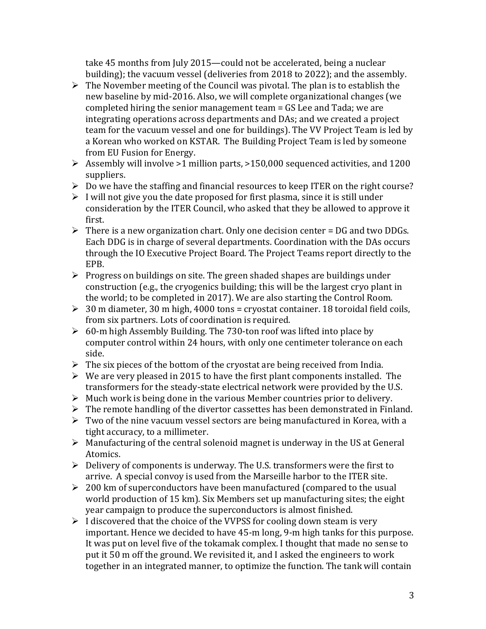take 45 months from July 2015—could not be accelerated, being a nuclear building); the vacuum vessel (deliveries from 2018 to 2022); and the assembly.

- $\triangleright$  The November meeting of the Council was pivotal. The plan is to establish the new baseline by mid-2016. Also, we will complete organizational changes (we completed hiring the senior management team = GS Lee and Tada; we are integrating operations across departments and DAs; and we created a project team for the vacuum vessel and one for buildings). The VV Project Team is led by a Korean who worked on KSTAR. The Building Project Team is led by someone from EU Fusion for Energy.
- $\triangleright$  Assembly will involve >1 million parts, >150,000 sequenced activities, and 1200 suppliers.
- $\triangleright$  Do we have the staffing and financial resources to keep ITER on the right course?
- $\triangleright$  I will not give you the date proposed for first plasma, since it is still under consideration by the ITER Council, who asked that they be allowed to approve it first.
- $\triangleright$  There is a new organization chart. Only one decision center = DG and two DDGs. Each DDG is in charge of several departments. Coordination with the DAs occurs through the IO Executive Project Board. The Project Teams report directly to the EPB.
- $\triangleright$  Progress on buildings on site. The green shaded shapes are buildings under construction (e.g., the cryogenics building; this will be the largest cryo plant in the world; to be completed in 2017). We are also starting the Control Room.
- $\geq 30$  m diameter, 30 m high, 4000 tons = cryostat container. 18 toroidal field coils, from six partners. Lots of coordination is required.
- $\geq 60$ -m high Assembly Building. The 730-ton roof was lifted into place by computer control within 24 hours, with only one centimeter tolerance on each side.
- $\triangleright$  The six pieces of the bottom of the cryostat are being received from India.
- $\triangleright$  We are very pleased in 2015 to have the first plant components installed. The transformers for the steady-state electrical network were provided by the U.S.
- $\triangleright$  Much work is being done in the various Member countries prior to delivery.
- $\triangleright$  The remote handling of the divertor cassettes has been demonstrated in Finland.
- $\triangleright$  Two of the nine vacuum vessel sectors are being manufactured in Korea, with a tight accuracy, to a millimeter.
- $\triangleright$  Manufacturing of the central solenoid magnet is underway in the US at General Atomics.
- $\triangleright$  Delivery of components is underway. The U.S. transformers were the first to arrive. A special convoy is used from the Marseille harbor to the ITER site.
- $\geq 200$  km of superconductors have been manufactured (compared to the usual world production of 15 km). Six Members set up manufacturing sites; the eight year campaign to produce the superconductors is almost finished.
- $\triangleright$  I discovered that the choice of the VVPSS for cooling down steam is very important. Hence we decided to have 45-m long, 9-m high tanks for this purpose. It was put on level five of the tokamak complex. I thought that made no sense to put it 50 m off the ground. We revisited it, and I asked the engineers to work together in an integrated manner, to optimize the function. The tank will contain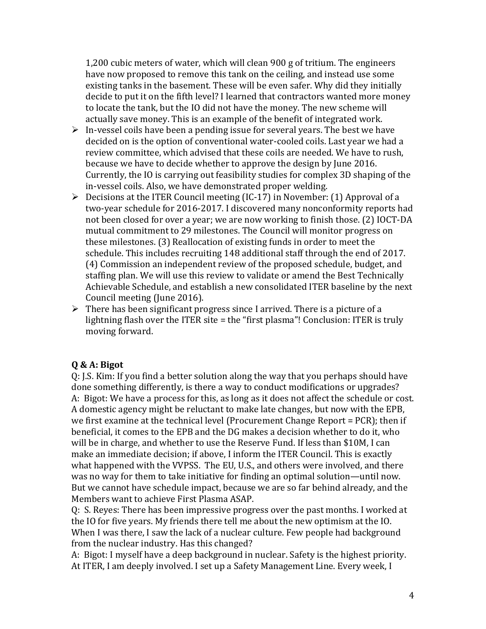1,200 cubic meters of water, which will clean 900 g of tritium. The engineers have now proposed to remove this tank on the ceiling, and instead use some existing tanks in the basement. These will be even safer. Why did they initially decide to put it on the fifth level? I learned that contractors wanted more money to locate the tank, but the IO did not have the money. The new scheme will actually save money. This is an example of the benefit of integrated work.

- $\triangleright$  In-vessel coils have been a pending issue for several years. The best we have decided on is the option of conventional water-cooled coils. Last year we had a review committee, which advised that these coils are needed. We have to rush, because we have to decide whether to approve the design by June 2016. Currently, the IO is carrying out feasibility studies for complex 3D shaping of the in-vessel coils. Also, we have demonstrated proper welding.
- $\triangleright$  Decisions at the ITER Council meeting (IC-17) in November: (1) Approval of a two-year schedule for 2016-2017. I discovered many nonconformity reports had not been closed for over a year; we are now working to finish those. (2) IOCT-DA mutual commitment to 29 milestones. The Council will monitor progress on these milestones. (3) Reallocation of existing funds in order to meet the schedule. This includes recruiting 148 additional staff through the end of 2017. (4) Commission an independent review of the proposed schedule, budget, and staffing plan. We will use this review to validate or amend the Best Technically Achievable Schedule, and establish a new consolidated ITER baseline by the next Council meeting (June 2016).
- $\triangleright$  There has been significant progress since I arrived. There is a picture of a lightning flash over the ITER site = the "first plasma"! Conclusion: ITER is truly moving forward.

#### **Q & A: Bigot**

Q: J.S. Kim: If you find a better solution along the way that you perhaps should have done something differently, is there a way to conduct modifications or upgrades? A: Bigot: We have a process for this, as long as it does not affect the schedule or cost. A domestic agency might be reluctant to make late changes, but now with the EPB, we first examine at the technical level (Procurement Change Report = PCR); then if beneficial, it comes to the EPB and the DG makes a decision whether to do it, who will be in charge, and whether to use the Reserve Fund. If less than \$10M, I can make an immediate decision; if above, I inform the ITER Council. This is exactly what happened with the VVPSS. The EU, U.S., and others were involved, and there was no way for them to take initiative for finding an optimal solution—until now. But we cannot have schedule impact, because we are so far behind already, and the Members want to achieve First Plasma ASAP.

Q: S. Reyes: There has been impressive progress over the past months. I worked at the IO for five years. My friends there tell me about the new optimism at the IO. When I was there, I saw the lack of a nuclear culture. Few people had background from the nuclear industry. Has this changed?

A: Bigot: I myself have a deep background in nuclear. Safety is the highest priority. At ITER, I am deeply involved. I set up a Safety Management Line. Every week, I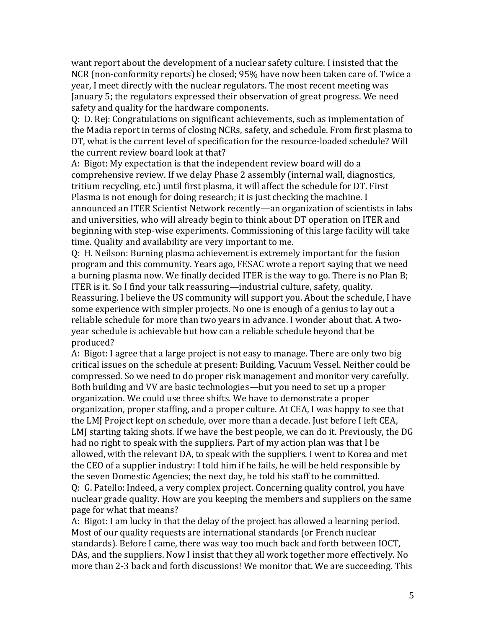want report about the development of a nuclear safety culture. I insisted that the NCR (non-conformity reports) be closed; 95% have now been taken care of. Twice a year, I meet directly with the nuclear regulators. The most recent meeting was January 5; the regulators expressed their observation of great progress. We need safety and quality for the hardware components.

Q: D. Rej: Congratulations on significant achievements, such as implementation of the Madia report in terms of closing NCRs, safety, and schedule. From first plasma to DT, what is the current level of specification for the resource-loaded schedule? Will the current review board look at that?

A: Bigot: My expectation is that the independent review board will do a comprehensive review. If we delay Phase 2 assembly (internal wall, diagnostics, tritium recycling, etc.) until first plasma, it will affect the schedule for DT. First Plasma is not enough for doing research; it is just checking the machine. I announced an ITER Scientist Network recently—an organization of scientists in labs and universities, who will already begin to think about DT operation on ITER and beginning with step-wise experiments. Commissioning of this large facility will take time. Quality and availability are very important to me.

Q: H. Neilson: Burning plasma achievement is extremely important for the fusion program and this community. Years ago, FESAC wrote a report saying that we need a burning plasma now. We finally decided ITER is the way to go. There is no Plan B; ITER is it. So I find your talk reassuring—industrial culture, safety, quality. Reassuring. I believe the US community will support you. About the schedule, I have some experience with simpler projects. No one is enough of a genius to lay out a reliable schedule for more than two years in advance. I wonder about that. A twoyear schedule is achievable but how can a reliable schedule beyond that be produced?

A: Bigot: I agree that a large project is not easy to manage. There are only two big critical issues on the schedule at present: Building, Vacuum Vessel. Neither could be compressed. So we need to do proper risk management and monitor very carefully. Both building and VV are basic technologies—but you need to set up a proper organization. We could use three shifts. We have to demonstrate a proper organization, proper staffing, and a proper culture. At CEA, I was happy to see that the LMJ Project kept on schedule, over more than a decade. Just before I left CEA, LMJ starting taking shots. If we have the best people, we can do it. Previously, the DG had no right to speak with the suppliers. Part of my action plan was that I be allowed, with the relevant DA, to speak with the suppliers. I went to Korea and met the CEO of a supplier industry: I told him if he fails, he will be held responsible by the seven Domestic Agencies; the next day, he told his staff to be committed. Q: G. Patello: Indeed, a very complex project. Concerning quality control, you have nuclear grade quality. How are you keeping the members and suppliers on the same page for what that means?

A: Bigot: I am lucky in that the delay of the project has allowed a learning period. Most of our quality requests are international standards (or French nuclear standards). Before I came, there was way too much back and forth between IOCT, DAs, and the suppliers. Now I insist that they all work together more effectively. No more than 2-3 back and forth discussions! We monitor that. We are succeeding. This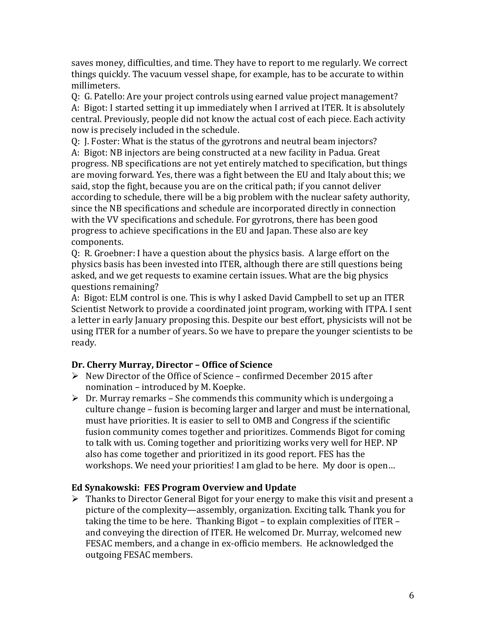saves money, difficulties, and time. They have to report to me regularly. We correct things quickly. The vacuum vessel shape, for example, has to be accurate to within millimeters.

Q: G. Patello: Are your project controls using earned value project management? A: Bigot: I started setting it up immediately when I arrived at ITER. It is absolutely central. Previously, people did not know the actual cost of each piece. Each activity now is precisely included in the schedule.

Q: J. Foster: What is the status of the gyrotrons and neutral beam injectors? A: Bigot: NB injectors are being constructed at a new facility in Padua. Great progress. NB specifications are not yet entirely matched to specification, but things are moving forward. Yes, there was a fight between the EU and Italy about this; we said, stop the fight, because you are on the critical path; if you cannot deliver according to schedule, there will be a big problem with the nuclear safety authority, since the NB specifications and schedule are incorporated directly in connection with the VV specifications and schedule. For gyrotrons, there has been good progress to achieve specifications in the EU and Japan. These also are key components.

Q: R. Groebner: I have a question about the physics basis. A large effort on the physics basis has been invested into ITER, although there are still questions being asked, and we get requests to examine certain issues. What are the big physics questions remaining?

A: Bigot: ELM control is one. This is why I asked David Campbell to set up an ITER Scientist Network to provide a coordinated joint program, working with ITPA. I sent a letter in early January proposing this. Despite our best effort, physicists will not be using ITER for a number of years. So we have to prepare the younger scientists to be ready.

## **Dr. Cherry Murray, Director – Office of Science**

- $\triangleright$  New Director of the Office of Science confirmed December 2015 after nomination – introduced by M. Koepke.
- $\triangleright$  Dr. Murray remarks She commends this community which is undergoing a culture change – fusion is becoming larger and larger and must be international, must have priorities. It is easier to sell to OMB and Congress if the scientific fusion community comes together and prioritizes. Commends Bigot for coming to talk with us. Coming together and prioritizing works very well for HEP. NP also has come together and prioritized in its good report. FES has the workshops. We need your priorities! I am glad to be here. My door is open…

## **Ed Synakowski: FES Program Overview and Update**

 $\triangleright$  Thanks to Director General Bigot for your energy to make this visit and present a picture of the complexity—assembly, organization. Exciting talk. Thank you for taking the time to be here. Thanking Bigot – to explain complexities of ITER – and conveying the direction of ITER. He welcomed Dr. Murray, welcomed new FESAC members, and a change in ex-officio members. He acknowledged the outgoing FESAC members.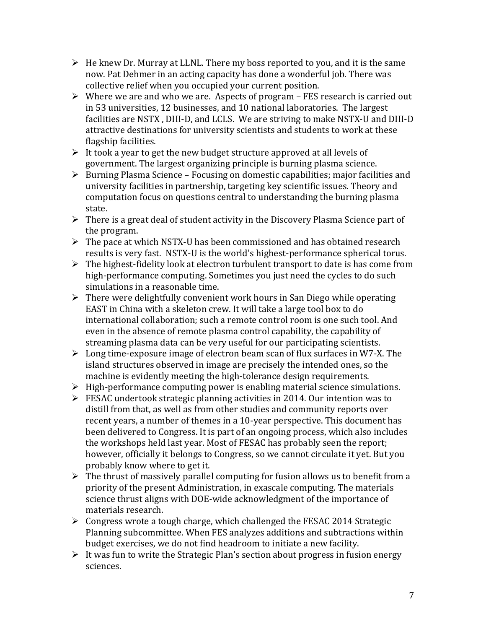- $\triangleright$  He knew Dr. Murray at LLNL. There my boss reported to you, and it is the same now. Pat Dehmer in an acting capacity has done a wonderful job. There was collective relief when you occupied your current position.
- $\triangleright$  Where we are and who we are. Aspects of program FES research is carried out in 53 universities, 12 businesses, and 10 national laboratories. The largest facilities are NSTX , DIII-D, and LCLS. We are striving to make NSTX-U and DIII-D attractive destinations for university scientists and students to work at these flagship facilities.
- $\triangleright$  It took a year to get the new budget structure approved at all levels of government. The largest organizing principle is burning plasma science.
- $\triangleright$  Burning Plasma Science Focusing on domestic capabilities; major facilities and university facilities in partnership, targeting key scientific issues. Theory and computation focus on questions central to understanding the burning plasma state.
- $\triangleright$  There is a great deal of student activity in the Discovery Plasma Science part of the program.
- $\triangleright$  The pace at which NSTX-U has been commissioned and has obtained research results is very fast. NSTX-U is the world's highest-performance spherical torus.
- $\triangleright$  The highest-fidelity look at electron turbulent transport to date is has come from high-performance computing. Sometimes you just need the cycles to do such simulations in a reasonable time.
- $\triangleright$  There were delightfully convenient work hours in San Diego while operating EAST in China with a skeleton crew. It will take a large tool box to do international collaboration; such a remote control room is one such tool. And even in the absence of remote plasma control capability, the capability of streaming plasma data can be very useful for our participating scientists.
- $\triangleright$  Long time-exposure image of electron beam scan of flux surfaces in W7-X. The island structures observed in image are precisely the intended ones, so the machine is evidently meeting the high-tolerance design requirements.
- $\triangleright$  High-performance computing power is enabling material science simulations.
- FESAC undertook strategic planning activities in 2014. Our intention was to distill from that, as well as from other studies and community reports over recent years, a number of themes in a 10-year perspective. This document has been delivered to Congress. It is part of an ongoing process, which also includes the workshops held last year. Most of FESAC has probably seen the report; however, officially it belongs to Congress, so we cannot circulate it yet. But you probably know where to get it.
- $\triangleright$  The thrust of massively parallel computing for fusion allows us to benefit from a priority of the present Administration, in exascale computing. The materials science thrust aligns with DOE-wide acknowledgment of the importance of materials research.
- $\triangleright$  Congress wrote a tough charge, which challenged the FESAC 2014 Strategic Planning subcommittee. When FES analyzes additions and subtractions within budget exercises, we do not find headroom to initiate a new facility.
- $\triangleright$  It was fun to write the Strategic Plan's section about progress in fusion energy sciences.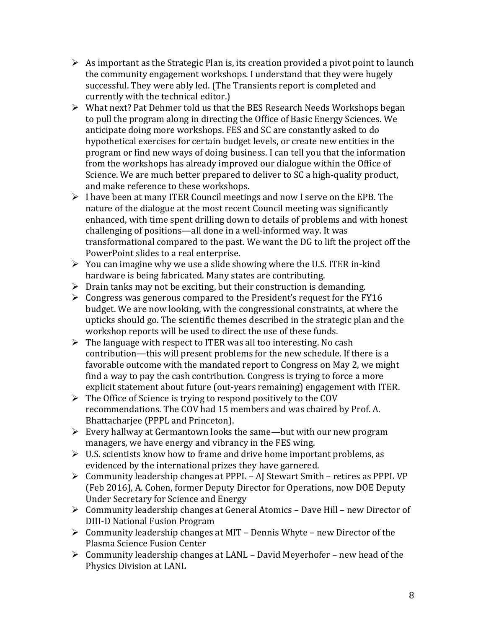- $\triangleright$  As important as the Strategic Plan is, its creation provided a pivot point to launch the community engagement workshops. I understand that they were hugely successful. They were ably led. (The Transients report is completed and currently with the technical editor.)
- What next? Pat Dehmer told us that the BES Research Needs Workshops began to pull the program along in directing the Office of Basic Energy Sciences. We anticipate doing more workshops. FES and SC are constantly asked to do hypothetical exercises for certain budget levels, or create new entities in the program or find new ways of doing business. I can tell you that the information from the workshops has already improved our dialogue within the Office of Science. We are much better prepared to deliver to SC a high-quality product, and make reference to these workshops.
- $\triangleright$  I have been at many ITER Council meetings and now I serve on the EPB. The nature of the dialogue at the most recent Council meeting was significantly enhanced, with time spent drilling down to details of problems and with honest challenging of positions—all done in a well-informed way. It was transformational compared to the past. We want the DG to lift the project off the PowerPoint slides to a real enterprise.
- $\triangleright$  You can imagine why we use a slide showing where the U.S. ITER in-kind hardware is being fabricated. Many states are contributing.
- $\triangleright$  Drain tanks may not be exciting, but their construction is demanding.
- $\triangleright$  Congress was generous compared to the President's request for the FY16 budget. We are now looking, with the congressional constraints, at where the upticks should go. The scientific themes described in the strategic plan and the workshop reports will be used to direct the use of these funds.
- $\triangleright$  The language with respect to ITER was all too interesting. No cash contribution—this will present problems for the new schedule. If there is a favorable outcome with the mandated report to Congress on May 2, we might find a way to pay the cash contribution. Congress is trying to force a more explicit statement about future (out-years remaining) engagement with ITER.
- $\triangleright$  The Office of Science is trying to respond positively to the COV recommendations. The COV had 15 members and was chaired by Prof. A. Bhattacharjee (PPPL and Princeton).
- $\triangleright$  Every hallway at Germantown looks the same—but with our new program managers, we have energy and vibrancy in the FES wing.
- $\triangleright$  U.S. scientists know how to frame and drive home important problems, as evidenced by the international prizes they have garnered.
- Community leadership changes at PPPL AJ Stewart Smith retires as PPPL VP (Feb 2016), A. Cohen, former Deputy Director for Operations, now DOE Deputy Under Secretary for Science and Energy
- Community leadership changes at General Atomics Dave Hill new Director of DIII-D National Fusion Program
- $\triangleright$  Community leadership changes at MIT Dennis Whyte new Director of the Plasma Science Fusion Center
- $\triangleright$  Community leadership changes at LANL David Meyerhofer new head of the Physics Division at LANL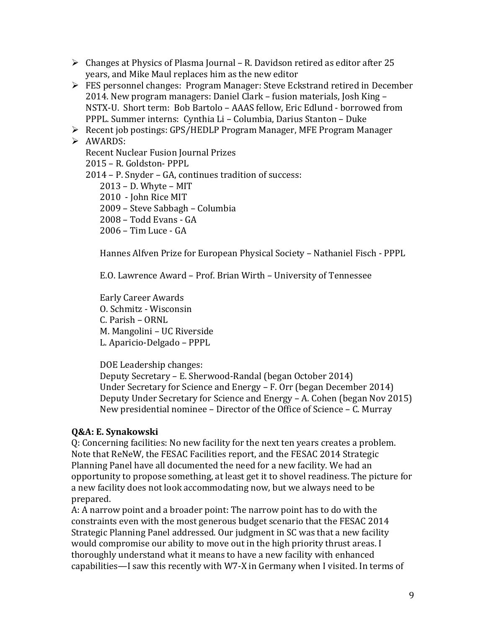- $\triangleright$  Changes at Physics of Plasma Journal R. Davidson retired as editor after 25 years, and Mike Maul replaces him as the new editor
- FES personnel changes: Program Manager: Steve Eckstrand retired in December 2014. New program managers: Daniel Clark – fusion materials, Josh King – NSTX-U. Short term: Bob Bartolo – AAAS fellow, Eric Edlund - borrowed from PPPL. Summer interns: Cynthia Li – Columbia, Darius Stanton – Duke
- Recent job postings: GPS/HEDLP Program Manager, MFE Program Manager

> AWARDS: Recent Nuclear Fusion Journal Prizes – R. Goldston- PPPL – P. Snyder – GA, continues tradition of success: – D. Whyte – MIT 2010 - John Rice MIT – Steve Sabbagh – Columbia – Todd Evans - GA – Tim Luce - GA

Hannes Alfven Prize for European Physical Society – Nathaniel Fisch - PPPL

E.O. Lawrence Award – Prof. Brian Wirth – University of Tennessee

Early Career Awards O. Schmitz - Wisconsin C. Parish – ORNL M. Mangolini – UC Riverside L. Aparicio-Delgado – PPPL

DOE Leadership changes: Deputy Secretary – E. Sherwood-Randal (began October 2014) Under Secretary for Science and Energy – F. Orr (began December 2014) Deputy Under Secretary for Science and Energy – A. Cohen (began Nov 2015) New presidential nominee – Director of the Office of Science – C. Murray

## **Q&A: E. Synakowski**

Q: Concerning facilities: No new facility for the next ten years creates a problem. Note that ReNeW, the FESAC Facilities report, and the FESAC 2014 Strategic Planning Panel have all documented the need for a new facility. We had an opportunity to propose something, at least get it to shovel readiness. The picture for a new facility does not look accommodating now, but we always need to be prepared.

A: A narrow point and a broader point: The narrow point has to do with the constraints even with the most generous budget scenario that the FESAC 2014 Strategic Planning Panel addressed. Our judgment in SC was that a new facility would compromise our ability to move out in the high priority thrust areas. I thoroughly understand what it means to have a new facility with enhanced capabilities—I saw this recently with W7-X in Germany when I visited. In terms of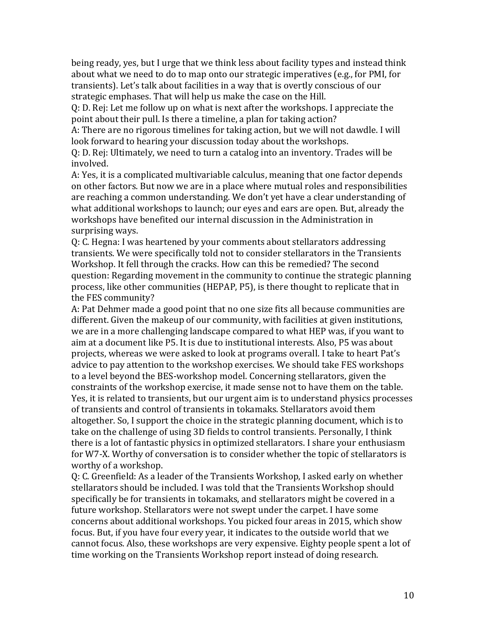being ready, yes, but I urge that we think less about facility types and instead think about what we need to do to map onto our strategic imperatives (e.g., for PMI, for transients). Let's talk about facilities in a way that is overtly conscious of our strategic emphases. That will help us make the case on the Hill.

Q: D. Rej: Let me follow up on what is next after the workshops. I appreciate the point about their pull. Is there a timeline, a plan for taking action?

A: There are no rigorous timelines for taking action, but we will not dawdle. I will look forward to hearing your discussion today about the workshops.

Q: D. Rej: Ultimately, we need to turn a catalog into an inventory. Trades will be involved.

A: Yes, it is a complicated multivariable calculus, meaning that one factor depends on other factors. But now we are in a place where mutual roles and responsibilities are reaching a common understanding. We don't yet have a clear understanding of what additional workshops to launch; our eyes and ears are open. But, already the workshops have benefited our internal discussion in the Administration in surprising ways.

Q: C. Hegna: I was heartened by your comments about stellarators addressing transients. We were specifically told not to consider stellarators in the Transients Workshop. It fell through the cracks. How can this be remedied? The second question: Regarding movement in the community to continue the strategic planning process, like other communities (HEPAP, P5), is there thought to replicate that in the FES community?

A: Pat Dehmer made a good point that no one size fits all because communities are different. Given the makeup of our community, with facilities at given institutions, we are in a more challenging landscape compared to what HEP was, if you want to aim at a document like P5. It is due to institutional interests. Also, P5 was about projects, whereas we were asked to look at programs overall. I take to heart Pat's advice to pay attention to the workshop exercises. We should take FES workshops to a level beyond the BES-workshop model. Concerning stellarators, given the constraints of the workshop exercise, it made sense not to have them on the table. Yes, it is related to transients, but our urgent aim is to understand physics processes of transients and control of transients in tokamaks. Stellarators avoid them altogether. So, I support the choice in the strategic planning document, which is to take on the challenge of using 3D fields to control transients. Personally, I think there is a lot of fantastic physics in optimized stellarators. I share your enthusiasm for W7-X. Worthy of conversation is to consider whether the topic of stellarators is worthy of a workshop.

Q: C. Greenfield: As a leader of the Transients Workshop, I asked early on whether stellarators should be included. I was told that the Transients Workshop should specifically be for transients in tokamaks, and stellarators might be covered in a future workshop. Stellarators were not swept under the carpet. I have some concerns about additional workshops. You picked four areas in 2015, which show focus. But, if you have four every year, it indicates to the outside world that we cannot focus. Also, these workshops are very expensive. Eighty people spent a lot of time working on the Transients Workshop report instead of doing research.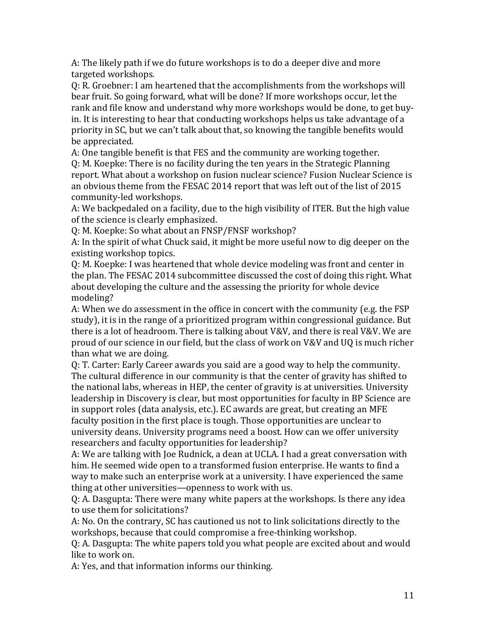A: The likely path if we do future workshops is to do a deeper dive and more targeted workshops.

Q: R. Groebner: I am heartened that the accomplishments from the workshops will bear fruit. So going forward, what will be done? If more workshops occur, let the rank and file know and understand why more workshops would be done, to get buyin. It is interesting to hear that conducting workshops helps us take advantage of a priority in SC, but we can't talk about that, so knowing the tangible benefits would be appreciated.

A: One tangible benefit is that FES and the community are working together. Q: M. Koepke: There is no facility during the ten years in the Strategic Planning report. What about a workshop on fusion nuclear science? Fusion Nuclear Science is an obvious theme from the FESAC 2014 report that was left out of the list of 2015 community-led workshops.

A: We backpedaled on a facility, due to the high visibility of ITER. But the high value of the science is clearly emphasized.

Q: M. Koepke: So what about an FNSP/FNSF workshop?

A: In the spirit of what Chuck said, it might be more useful now to dig deeper on the existing workshop topics.

Q: M. Koepke: I was heartened that whole device modeling was front and center in the plan. The FESAC 2014 subcommittee discussed the cost of doing this right. What about developing the culture and the assessing the priority for whole device modeling?

A: When we do assessment in the office in concert with the community (e.g. the FSP study), it is in the range of a prioritized program within congressional guidance. But there is a lot of headroom. There is talking about V&V, and there is real V&V. We are proud of our science in our field, but the class of work on V&V and UQ is much richer than what we are doing.

Q: T. Carter: Early Career awards you said are a good way to help the community. The cultural difference in our community is that the center of gravity has shifted to the national labs, whereas in HEP, the center of gravity is at universities. University leadership in Discovery is clear, but most opportunities for faculty in BP Science are in support roles (data analysis, etc.). EC awards are great, but creating an MFE faculty position in the first place is tough. Those opportunities are unclear to university deans. University programs need a boost. How can we offer university researchers and faculty opportunities for leadership?

A: We are talking with Joe Rudnick, a dean at UCLA. I had a great conversation with him. He seemed wide open to a transformed fusion enterprise. He wants to find a way to make such an enterprise work at a university. I have experienced the same thing at other universities—openness to work with us.

Q: A. Dasgupta: There were many white papers at the workshops. Is there any idea to use them for solicitations?

A: No. On the contrary, SC has cautioned us not to link solicitations directly to the workshops, because that could compromise a free-thinking workshop.

Q: A. Dasgupta: The white papers told you what people are excited about and would like to work on.

A: Yes, and that information informs our thinking.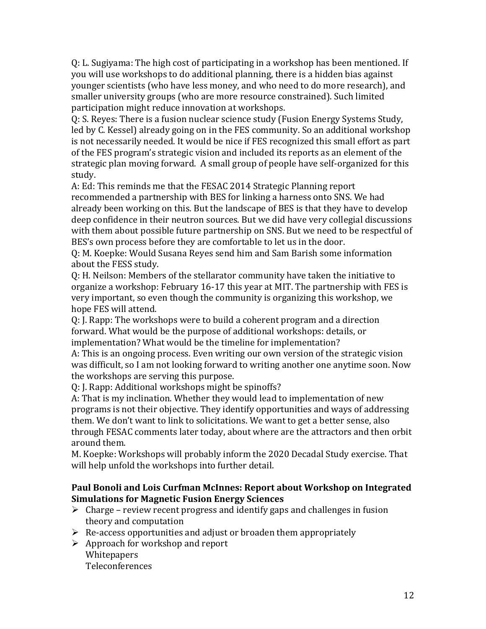Q: L. Sugiyama: The high cost of participating in a workshop has been mentioned. If you will use workshops to do additional planning, there is a hidden bias against younger scientists (who have less money, and who need to do more research), and smaller university groups (who are more resource constrained). Such limited participation might reduce innovation at workshops.

Q: S. Reyes: There is a fusion nuclear science study (Fusion Energy Systems Study, led by C. Kessel) already going on in the FES community. So an additional workshop is not necessarily needed. It would be nice if FES recognized this small effort as part of the FES program's strategic vision and included its reports as an element of the strategic plan moving forward. A small group of people have self-organized for this study.

A: Ed: This reminds me that the FESAC 2014 Strategic Planning report recommended a partnership with BES for linking a harness onto SNS. We had already been working on this. But the landscape of BES is that they have to develop deep confidence in their neutron sources. But we did have very collegial discussions with them about possible future partnership on SNS. But we need to be respectful of BES's own process before they are comfortable to let us in the door.

Q: M. Koepke: Would Susana Reyes send him and Sam Barish some information about the FESS study.

Q: H. Neilson: Members of the stellarator community have taken the initiative to organize a workshop: February 16-17 this year at MIT. The partnership with FES is very important, so even though the community is organizing this workshop, we hope FES will attend.

Q: J. Rapp: The workshops were to build a coherent program and a direction forward. What would be the purpose of additional workshops: details, or implementation? What would be the timeline for implementation?

A: This is an ongoing process. Even writing our own version of the strategic vision was difficult, so I am not looking forward to writing another one anytime soon. Now the workshops are serving this purpose.

Q: J. Rapp: Additional workshops might be spinoffs?

A: That is my inclination. Whether they would lead to implementation of new programs is not their objective. They identify opportunities and ways of addressing them. We don't want to link to solicitations. We want to get a better sense, also through FESAC comments later today, about where are the attractors and then orbit around them.

M. Koepke: Workshops will probably inform the 2020 Decadal Study exercise. That will help unfold the workshops into further detail.

#### **Paul Bonoli and Lois Curfman McInnes: Report about Workshop on Integrated Simulations for Magnetic Fusion Energy Sciences**

- $\triangleright$  Charge review recent progress and identify gaps and challenges in fusion theory and computation
- $\triangleright$  Re-access opportunities and adjust or broaden them appropriately
- $\triangleright$  Approach for workshop and report Whitepapers Teleconferences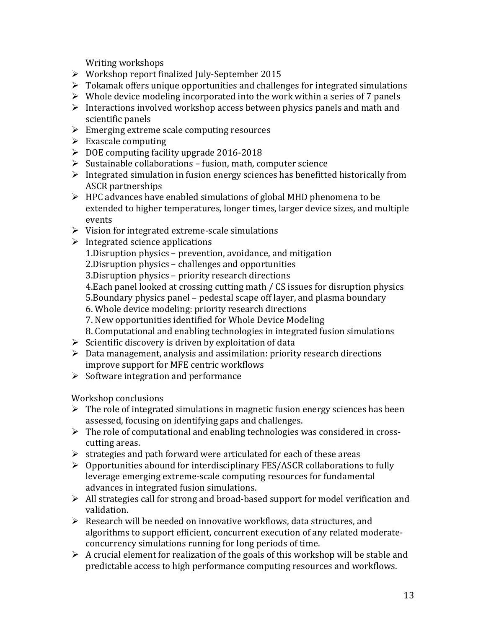Writing workshops

- Workshop report finalized July-September 2015
- $\triangleright$  Tokamak offers unique opportunities and challenges for integrated simulations
- $\triangleright$  Whole device modeling incorporated into the work within a series of 7 panels
- $\triangleright$  Interactions involved workshop access between physics panels and math and scientific panels
- $\triangleright$  Emerging extreme scale computing resources
- $\triangleright$  Exascale computing
- $\triangleright$  DOE computing facility upgrade 2016-2018
- $\triangleright$  Sustainable collaborations fusion, math, computer science
- $\triangleright$  Integrated simulation in fusion energy sciences has benefitted historically from ASCR partnerships
- $\triangleright$  HPC advances have enabled simulations of global MHD phenomena to be extended to higher temperatures, longer times, larger device sizes, and multiple events
- $\triangleright$  Vision for integrated extreme-scale simulations
- $\triangleright$  Integrated science applications
	- 1.Disruption physics prevention, avoidance, and mitigation
	- 2.Disruption physics challenges and opportunities
	- 3.Disruption physics priority research directions
	- 4.Each panel looked at crossing cutting math / CS issues for disruption physics
	- 5.Boundary physics panel pedestal scape off layer, and plasma boundary
	- 6. Whole device modeling: priority research directions
	- 7. New opportunities identified for Whole Device Modeling
	- 8. Computational and enabling technologies in integrated fusion simulations
- $\triangleright$  Scientific discovery is driven by exploitation of data
- $\triangleright$  Data management, analysis and assimilation: priority research directions improve support for MFE centric workflows
- $\triangleright$  Software integration and performance

Workshop conclusions

- $\triangleright$  The role of integrated simulations in magnetic fusion energy sciences has been assessed, focusing on identifying gaps and challenges.
- $\triangleright$  The role of computational and enabling technologies was considered in crosscutting areas.
- $\triangleright$  strategies and path forward were articulated for each of these areas
- $\triangleright$  Opportunities abound for interdisciplinary FES/ASCR collaborations to fully leverage emerging extreme-scale computing resources for fundamental advances in integrated fusion simulations.
- $\triangleright$  All strategies call for strong and broad-based support for model verification and validation.
- $\triangleright$  Research will be needed on innovative workflows, data structures, and algorithms to support efficient, concurrent execution of any related moderateconcurrency simulations running for long periods of time.
- $\triangleright$  A crucial element for realization of the goals of this workshop will be stable and predictable access to high performance computing resources and workflows.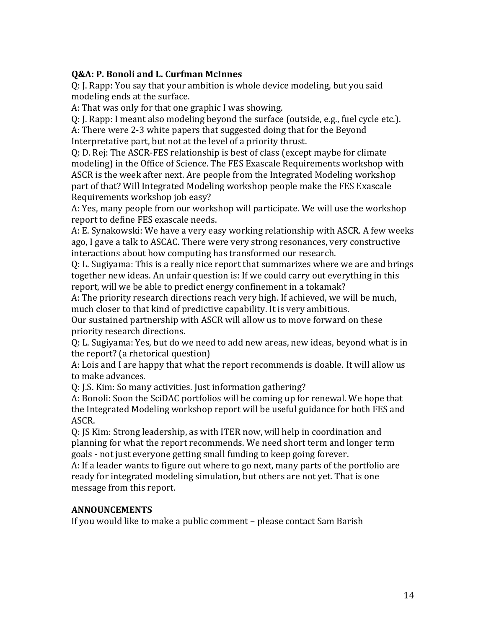#### **Q&A: P. Bonoli and L. Curfman McInnes**

Q: J. Rapp: You say that your ambition is whole device modeling, but you said modeling ends at the surface.

A: That was only for that one graphic I was showing.

Q: J. Rapp: I meant also modeling beyond the surface (outside, e.g., fuel cycle etc.). A: There were 2-3 white papers that suggested doing that for the Beyond Interpretative part, but not at the level of a priority thrust.

Q: D. Rej: The ASCR-FES relationship is best of class (except maybe for climate modeling) in the Office of Science. The FES Exascale Requirements workshop with ASCR is the week after next. Are people from the Integrated Modeling workshop part of that? Will Integrated Modeling workshop people make the FES Exascale Requirements workshop job easy?

A: Yes, many people from our workshop will participate. We will use the workshop report to define FES exascale needs.

A: E. Synakowski: We have a very easy working relationship with ASCR. A few weeks ago, I gave a talk to ASCAC. There were very strong resonances, very constructive interactions about how computing has transformed our research.

Q: L. Sugiyama: This is a really nice report that summarizes where we are and brings together new ideas. An unfair question is: If we could carry out everything in this report, will we be able to predict energy confinement in a tokamak?

A: The priority research directions reach very high. If achieved, we will be much, much closer to that kind of predictive capability. It is very ambitious.

Our sustained partnership with ASCR will allow us to move forward on these priority research directions.

Q: L. Sugiyama: Yes, but do we need to add new areas, new ideas, beyond what is in the report? (a rhetorical question)

A: Lois and I are happy that what the report recommends is doable. It will allow us to make advances.

Q: J.S. Kim: So many activities. Just information gathering?

A: Bonoli: Soon the SciDAC portfolios will be coming up for renewal. We hope that the Integrated Modeling workshop report will be useful guidance for both FES and ASCR.

Q: JS Kim: Strong leadership, as with ITER now, will help in coordination and planning for what the report recommends. We need short term and longer term goals - not just everyone getting small funding to keep going forever.

A: If a leader wants to figure out where to go next, many parts of the portfolio are ready for integrated modeling simulation, but others are not yet. That is one message from this report.

#### **ANNOUNCEMENTS**

If you would like to make a public comment – please contact Sam Barish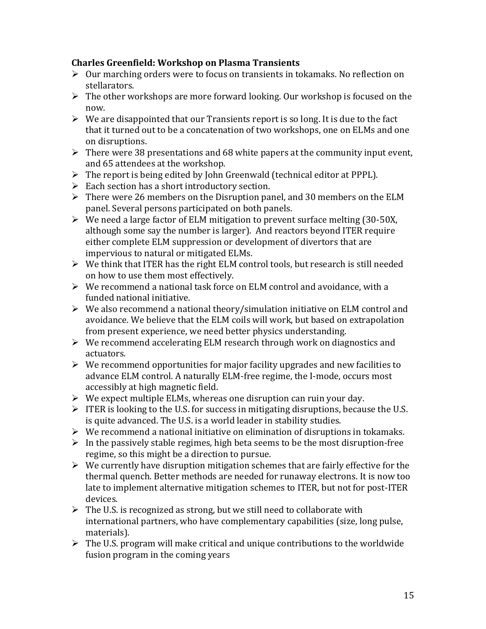#### **Charles Greenfield: Workshop on Plasma Transients**

- $\triangleright$  Our marching orders were to focus on transients in tokamaks. No reflection on stellarators.
- $\triangleright$  The other workshops are more forward looking. Our workshop is focused on the now.
- $\triangleright$  We are disappointed that our Transients report is so long. It is due to the fact that it turned out to be a concatenation of two workshops, one on ELMs and one on disruptions.
- $\triangleright$  There were 38 presentations and 68 white papers at the community input event, and 65 attendees at the workshop.
- $\triangleright$  The report is being edited by John Greenwald (technical editor at PPPL).
- $\triangleright$  Each section has a short introductory section.
- $\triangleright$  There were 26 members on the Disruption panel, and 30 members on the ELM panel. Several persons participated on both panels.
- $\triangleright$  We need a large factor of ELM mitigation to prevent surface melting (30-50X, although some say the number is larger). And reactors beyond ITER require either complete ELM suppression or development of divertors that are impervious to natural or mitigated ELMs.
- $\triangleright$  We think that ITER has the right ELM control tools, but research is still needed on how to use them most effectively.
- $\triangleright$  We recommend a national task force on ELM control and avoidance, with a funded national initiative.
- $\triangleright$  We also recommend a national theory/simulation initiative on ELM control and avoidance. We believe that the ELM coils will work, but based on extrapolation from present experience, we need better physics understanding.
- $\triangleright$  We recommend accelerating ELM research through work on diagnostics and actuators.
- $\triangleright$  We recommend opportunities for major facility upgrades and new facilities to advance ELM control. A naturally ELM-free regime, the I-mode, occurs most accessibly at high magnetic field.
- $\triangleright$  We expect multiple ELMs, whereas one disruption can ruin your day.
- $\triangleright$  ITER is looking to the U.S. for success in mitigating disruptions, because the U.S. is quite advanced. The U.S. is a world leader in stability studies.
- $\triangleright$  We recommend a national initiative on elimination of disruptions in tokamaks.
- $\triangleright$  In the passively stable regimes, high beta seems to be the most disruption-free regime, so this might be a direction to pursue.
- $\triangleright$  We currently have disruption mitigation schemes that are fairly effective for the thermal quench. Better methods are needed for runaway electrons. It is now too late to implement alternative mitigation schemes to ITER, but not for post-ITER devices.
- $\triangleright$  The U.S. is recognized as strong, but we still need to collaborate with international partners, who have complementary capabilities (size, long pulse, materials).
- $\triangleright$  The U.S. program will make critical and unique contributions to the worldwide fusion program in the coming years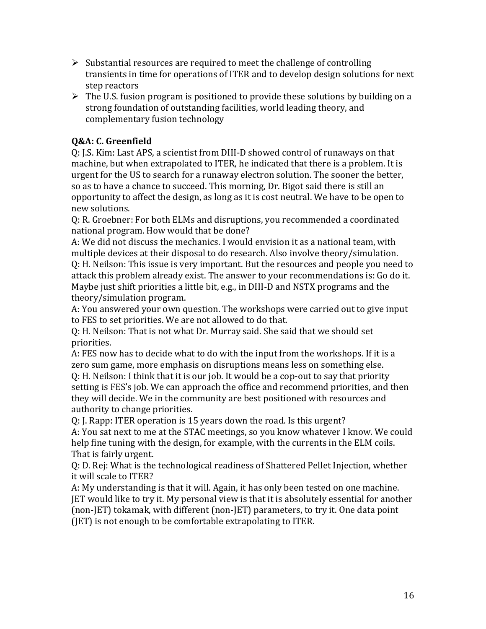- $\triangleright$  Substantial resources are required to meet the challenge of controlling transients in time for operations of ITER and to develop design solutions for next step reactors
- $\triangleright$  The U.S. fusion program is positioned to provide these solutions by building on a strong foundation of outstanding facilities, world leading theory, and complementary fusion technology

## **Q&A: C. Greenfield**

Q: J.S. Kim: Last APS, a scientist from DIII-D showed control of runaways on that machine, but when extrapolated to ITER, he indicated that there is a problem. It is urgent for the US to search for a runaway electron solution. The sooner the better, so as to have a chance to succeed. This morning, Dr. Bigot said there is still an opportunity to affect the design, as long as it is cost neutral. We have to be open to new solutions.

Q: R. Groebner: For both ELMs and disruptions, you recommended a coordinated national program. How would that be done?

A: We did not discuss the mechanics. I would envision it as a national team, with multiple devices at their disposal to do research. Also involve theory/simulation. Q: H. Neilson: This issue is very important. But the resources and people you need to attack this problem already exist. The answer to your recommendations is: Go do it. Maybe just shift priorities a little bit, e.g., in DIII-D and NSTX programs and the theory/simulation program.

A: You answered your own question. The workshops were carried out to give input to FES to set priorities. We are not allowed to do that.

Q: H. Neilson: That is not what Dr. Murray said. She said that we should set priorities.

A: FES now has to decide what to do with the input from the workshops. If it is a zero sum game, more emphasis on disruptions means less on something else. Q: H. Neilson: I think that it is our job. It would be a cop-out to say that priority setting is FES's job. We can approach the office and recommend priorities, and then they will decide. We in the community are best positioned with resources and authority to change priorities.

Q: J. Rapp: ITER operation is 15 years down the road. Is this urgent? A: You sat next to me at the STAC meetings, so you know whatever I know. We could help fine tuning with the design, for example, with the currents in the ELM coils. That is fairly urgent.

Q: D. Rej: What is the technological readiness of Shattered Pellet Injection, whether it will scale to ITER?

A: My understanding is that it will. Again, it has only been tested on one machine. JET would like to try it. My personal view is that it is absolutely essential for another (non-JET) tokamak, with different (non-JET) parameters, to try it. One data point (JET) is not enough to be comfortable extrapolating to ITER.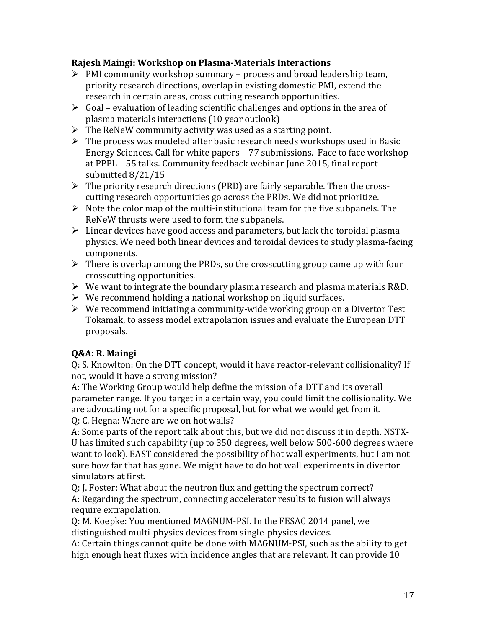## **Rajesh Maingi: Workshop on Plasma-Materials Interactions**

- $\triangleright$  PMI community workshop summary process and broad leadership team, priority research directions, overlap in existing domestic PMI, extend the research in certain areas, cross cutting research opportunities.
- $\triangleright$  Goal evaluation of leading scientific challenges and options in the area of plasma materials interactions (10 year outlook)
- $\triangleright$  The ReNeW community activity was used as a starting point.
- $\triangleright$  The process was modeled after basic research needs workshops used in Basic Energy Sciences. Call for white papers – 77 submissions. Face to face workshop at PPPL – 55 talks. Community feedback webinar June 2015, final report submitted 8/21/15
- $\triangleright$  The priority research directions (PRD) are fairly separable. Then the crosscutting research opportunities go across the PRDs. We did not prioritize.
- $\triangleright$  Note the color map of the multi-institutional team for the five subpanels. The ReNeW thrusts were used to form the subpanels.
- $\triangleright$  Linear devices have good access and parameters, but lack the toroidal plasma physics. We need both linear devices and toroidal devices to study plasma-facing components.
- $\triangleright$  There is overlap among the PRDs, so the crosscutting group came up with four crosscutting opportunities.
- $\triangleright$  We want to integrate the boundary plasma research and plasma materials R&D.
- $\triangleright$  We recommend holding a national workshop on liquid surfaces.
- $\triangleright$  We recommend initiating a community-wide working group on a Divertor Test Tokamak, to assess model extrapolation issues and evaluate the European DTT proposals.

# **Q&A: R. Maingi**

Q: S. Knowlton: On the DTT concept, would it have reactor-relevant collisionality? If not, would it have a strong mission?

A: The Working Group would help define the mission of a DTT and its overall parameter range. If you target in a certain way, you could limit the collisionality. We are advocating not for a specific proposal, but for what we would get from it.

Q: C. Hegna: Where are we on hot walls?

A: Some parts of the report talk about this, but we did not discuss it in depth. NSTX-U has limited such capability (up to 350 degrees, well below 500-600 degrees where want to look). EAST considered the possibility of hot wall experiments, but I am not sure how far that has gone. We might have to do hot wall experiments in divertor simulators at first.

Q: J. Foster: What about the neutron flux and getting the spectrum correct? A: Regarding the spectrum, connecting accelerator results to fusion will always require extrapolation.

Q: M. Koepke: You mentioned MAGNUM-PSI. In the FESAC 2014 panel, we distinguished multi-physics devices from single-physics devices.

A: Certain things cannot quite be done with MAGNUM-PSI, such as the ability to get high enough heat fluxes with incidence angles that are relevant. It can provide 10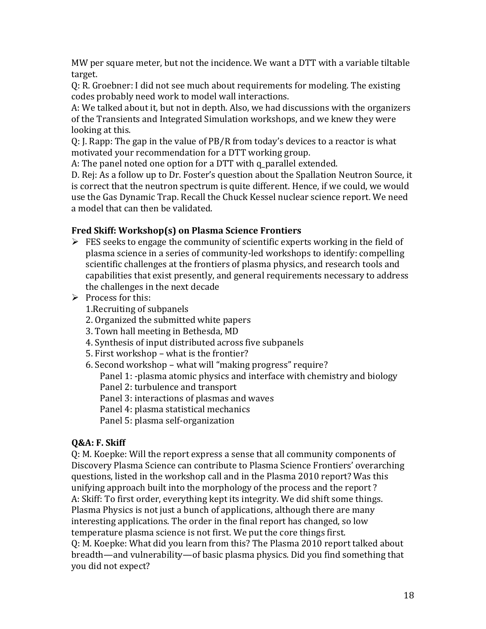MW per square meter, but not the incidence. We want a DTT with a variable tiltable target.

Q: R. Groebner: I did not see much about requirements for modeling. The existing codes probably need work to model wall interactions.

A: We talked about it, but not in depth. Also, we had discussions with the organizers of the Transients and Integrated Simulation workshops, and we knew they were looking at this.

Q: J. Rapp: The gap in the value of PB/R from today's devices to a reactor is what motivated your recommendation for a DTT working group.

A: The panel noted one option for a DTT with q parallel extended.

D. Rej: As a follow up to Dr. Foster's question about the Spallation Neutron Source, it is correct that the neutron spectrum is quite different. Hence, if we could, we would use the Gas Dynamic Trap. Recall the Chuck Kessel nuclear science report. We need a model that can then be validated.

# **Fred Skiff: Workshop(s) on Plasma Science Frontiers**

- $\triangleright$  FES seeks to engage the community of scientific experts working in the field of plasma science in a series of community-led workshops to identify: compelling scientific challenges at the frontiers of plasma physics, and research tools and capabilities that exist presently, and general requirements necessary to address the challenges in the next decade
- $\triangleright$  Process for this:
	- 1.Recruiting of subpanels
	- 2. Organized the submitted white papers
	- 3. Town hall meeting in Bethesda, MD
	- 4. Synthesis of input distributed across five subpanels
	- 5. First workshop what is the frontier?
	- 6. Second workshop what will "making progress" require?

Panel 1: -plasma atomic physics and interface with chemistry and biology

Panel 2: turbulence and transport

Panel 3: interactions of plasmas and waves

Panel 4: plasma statistical mechanics

Panel 5: plasma self-organization

# **Q&A: F. Skiff**

Q: M. Koepke: Will the report express a sense that all community components of Discovery Plasma Science can contribute to Plasma Science Frontiers' overarching questions, listed in the workshop call and in the Plasma 2010 report? Was this unifying approach built into the morphology of the process and the report ? A: Skiff: To first order, everything kept its integrity. We did shift some things. Plasma Physics is not just a bunch of applications, although there are many interesting applications. The order in the final report has changed, so low temperature plasma science is not first. We put the core things first. Q: M. Koepke: What did you learn from this? The Plasma 2010 report talked about

breadth—and vulnerability—of basic plasma physics. Did you find something that you did not expect?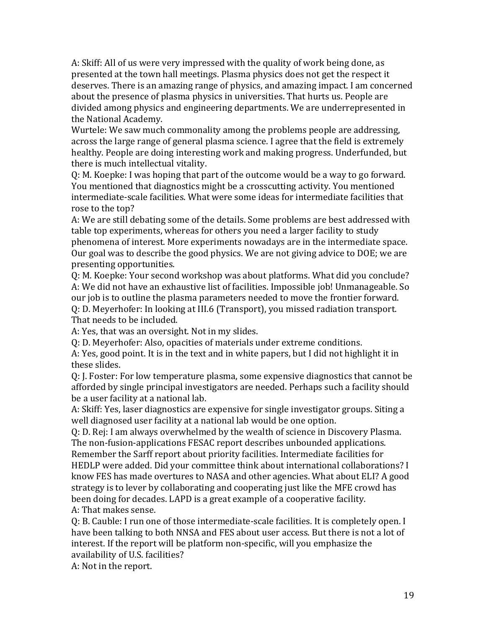A: Skiff: All of us were very impressed with the quality of work being done, as presented at the town hall meetings. Plasma physics does not get the respect it deserves. There is an amazing range of physics, and amazing impact. I am concerned about the presence of plasma physics in universities. That hurts us. People are divided among physics and engineering departments. We are underrepresented in the National Academy.

Wurtele: We saw much commonality among the problems people are addressing, across the large range of general plasma science. I agree that the field is extremely healthy. People are doing interesting work and making progress. Underfunded, but there is much intellectual vitality.

Q: M. Koepke: I was hoping that part of the outcome would be a way to go forward. You mentioned that diagnostics might be a crosscutting activity. You mentioned intermediate-scale facilities. What were some ideas for intermediate facilities that rose to the top?

A: We are still debating some of the details. Some problems are best addressed with table top experiments, whereas for others you need a larger facility to study phenomena of interest. More experiments nowadays are in the intermediate space. Our goal was to describe the good physics. We are not giving advice to DOE; we are presenting opportunities.

Q: M. Koepke: Your second workshop was about platforms. What did you conclude? A: We did not have an exhaustive list of facilities. Impossible job! Unmanageable. So our job is to outline the plasma parameters needed to move the frontier forward. Q: D. Meyerhofer: In looking at III.6 (Transport), you missed radiation transport. That needs to be included.

A: Yes, that was an oversight. Not in my slides.

Q: D. Meyerhofer: Also, opacities of materials under extreme conditions.

A: Yes, good point. It is in the text and in white papers, but I did not highlight it in these slides.

Q: J. Foster: For low temperature plasma, some expensive diagnostics that cannot be afforded by single principal investigators are needed. Perhaps such a facility should be a user facility at a national lab.

A: Skiff: Yes, laser diagnostics are expensive for single investigator groups. Siting a well diagnosed user facility at a national lab would be one option.

Q: D. Rej: I am always overwhelmed by the wealth of science in Discovery Plasma. The non-fusion-applications FESAC report describes unbounded applications. Remember the Sarff report about priority facilities. Intermediate facilities for HEDLP were added. Did your committee think about international collaborations? I know FES has made overtures to NASA and other agencies. What about ELI? A good strategy is to lever by collaborating and cooperating just like the MFE crowd has been doing for decades. LAPD is a great example of a cooperative facility. A: That makes sense.

Q: B. Cauble: I run one of those intermediate-scale facilities. It is completely open. I have been talking to both NNSA and FES about user access. But there is not a lot of interest. If the report will be platform non-specific, will you emphasize the availability of U.S. facilities?

A: Not in the report.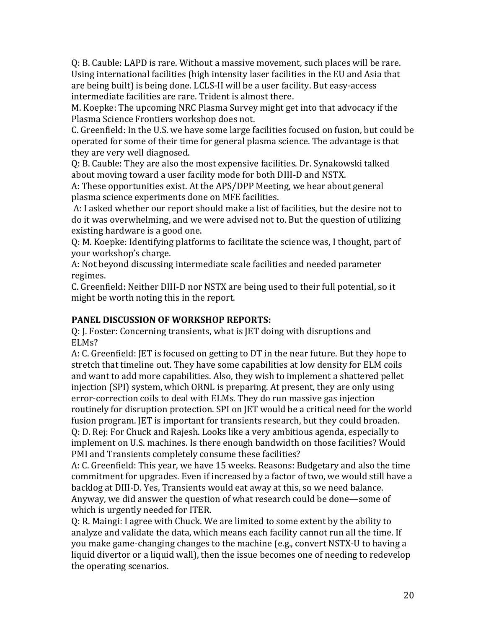Q: B. Cauble: LAPD is rare. Without a massive movement, such places will be rare. Using international facilities (high intensity laser facilities in the EU and Asia that are being built) is being done. LCLS-II will be a user facility. But easy-access intermediate facilities are rare. Trident is almost there.

M. Koepke: The upcoming NRC Plasma Survey might get into that advocacy if the Plasma Science Frontiers workshop does not.

C. Greenfield: In the U.S. we have some large facilities focused on fusion, but could be operated for some of their time for general plasma science. The advantage is that they are very well diagnosed.

Q: B. Cauble: They are also the most expensive facilities. Dr. Synakowski talked about moving toward a user facility mode for both DIII-D and NSTX.

A: These opportunities exist. At the APS/DPP Meeting, we hear about general plasma science experiments done on MFE facilities.

A: I asked whether our report should make a list of facilities, but the desire not to do it was overwhelming, and we were advised not to. But the question of utilizing existing hardware is a good one.

Q: M. Koepke: Identifying platforms to facilitate the science was, I thought, part of your workshop's charge.

A: Not beyond discussing intermediate scale facilities and needed parameter regimes.

C. Greenfield: Neither DIII-D nor NSTX are being used to their full potential, so it might be worth noting this in the report.

## **PANEL DISCUSSION OF WORKSHOP REPORTS:**

Q: J. Foster: Concerning transients, what is JET doing with disruptions and ELMs?

A: C. Greenfield: JET is focused on getting to DT in the near future. But they hope to stretch that timeline out. They have some capabilities at low density for ELM coils and want to add more capabilities. Also, they wish to implement a shattered pellet injection (SPI) system, which ORNL is preparing. At present, they are only using error-correction coils to deal with ELMs. They do run massive gas injection routinely for disruption protection. SPI on JET would be a critical need for the world fusion program. JET is important for transients research, but they could broaden. Q: D. Rej: For Chuck and Rajesh. Looks like a very ambitious agenda, especially to implement on U.S. machines. Is there enough bandwidth on those facilities? Would PMI and Transients completely consume these facilities?

A: C. Greenfield: This year, we have 15 weeks. Reasons: Budgetary and also the time commitment for upgrades. Even if increased by a factor of two, we would still have a backlog at DIII-D. Yes, Transients would eat away at this, so we need balance. Anyway, we did answer the question of what research could be done—some of which is urgently needed for ITER.

Q: R. Maingi: I agree with Chuck. We are limited to some extent by the ability to analyze and validate the data, which means each facility cannot run all the time. If you make game-changing changes to the machine (e.g., convert NSTX-U to having a liquid divertor or a liquid wall), then the issue becomes one of needing to redevelop the operating scenarios.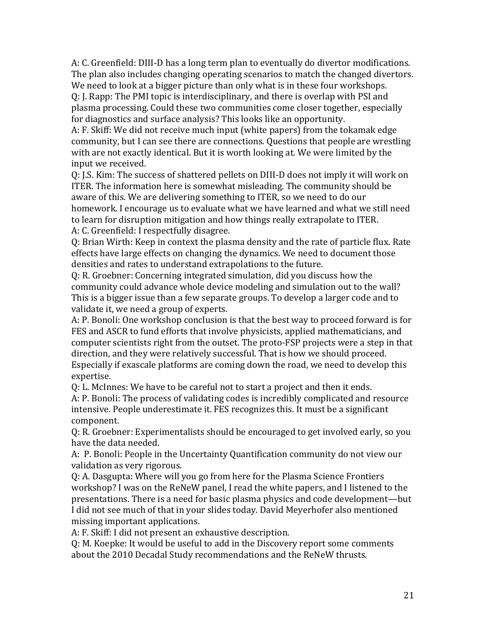A: C. Greenfield: DIII-D has a long term plan to eventually do divertor modifications. The plan also includes changing operating scenarios to match the changed divertors. We need to look at a bigger picture than only what is in these four workshops.

Q: J. Rapp: The PMI topic is interdisciplinary, and there is overlap with PSI and plasma processing. Could these two communities come closer together, especially for diagnostics and surface analysis? This looks like an opportunity.

A: F. Skiff: We did not receive much input (white papers) from the tokamak edge community, but I can see there are connections. Questions that people are wrestling with are not exactly identical. But it is worth looking at. We were limited by the input we received.

Q: J.S. Kim: The success of shattered pellets on DIII-D does not imply it will work on ITER. The information here is somewhat misleading. The community should be aware of this. We are delivering something to ITER, so we need to do our homework. I encourage us to evaluate what we have learned and what we still need to learn for disruption mitigation and how things really extrapolate to ITER. A: C. Greenfield: I respectfully disagree.

Q: Brian Wirth: Keep in context the plasma density and the rate of particle flux. Rate effects have large effects on changing the dynamics. We need to document those densities and rates to understand extrapolations to the future.

Q: R. Groebner: Concerning integrated simulation, did you discuss how the community could advance whole device modeling and simulation out to the wall? This is a bigger issue than a few separate groups. To develop a larger code and to validate it, we need a group of experts.

A: P. Bonoli: One workshop conclusion is that the best way to proceed forward is for FES and ASCR to fund efforts that involve physicists, applied mathematicians, and computer scientists right from the outset. The proto-FSP projects were a step in that direction, and they were relatively successful. That is how we should proceed. Especially if exascale platforms are coming down the road, we need to develop this expertise.

Q: L. McInnes: We have to be careful not to start a project and then it ends.

A: P. Bonoli: The process of validating codes is incredibly complicated and resource intensive. People underestimate it. FES recognizes this. It must be a significant component.

Q: R. Groebner: Experimentalists should be encouraged to get involved early, so you have the data needed.

A: P. Bonoli: People in the Uncertainty Quantification community do not view our validation as very rigorous.

Q: A. Dasgupta: Where will you go from here for the Plasma Science Frontiers workshop? I was on the ReNeW panel, I read the white papers, and I listened to the presentations. There is a need for basic plasma physics and code development—but I did not see much of that in your slides today. David Meyerhofer also mentioned missing important applications.

A: F. Skiff: I did not present an exhaustive description.

Q: M. Koepke: It would be useful to add in the Discovery report some comments about the 2010 Decadal Study recommendations and the ReNeW thrusts.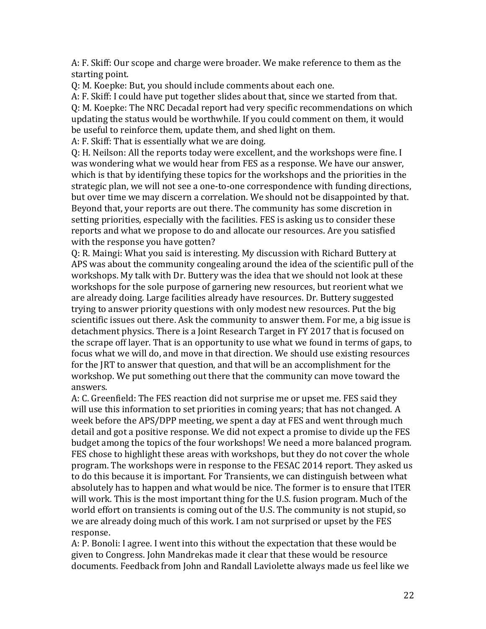A: F. Skiff: Our scope and charge were broader. We make reference to them as the starting point.

Q: M. Koepke: But, you should include comments about each one.

A: F. Skiff: I could have put together slides about that, since we started from that. Q: M. Koepke: The NRC Decadal report had very specific recommendations on which updating the status would be worthwhile. If you could comment on them, it would be useful to reinforce them, update them, and shed light on them.

A: F. Skiff: That is essentially what we are doing.

Q: H. Neilson: All the reports today were excellent, and the workshops were fine. I was wondering what we would hear from FES as a response. We have our answer, which is that by identifying these topics for the workshops and the priorities in the strategic plan, we will not see a one-to-one correspondence with funding directions, but over time we may discern a correlation. We should not be disappointed by that. Beyond that, your reports are out there. The community has some discretion in setting priorities, especially with the facilities. FES is asking us to consider these reports and what we propose to do and allocate our resources. Are you satisfied with the response you have gotten?

Q: R. Maingi: What you said is interesting. My discussion with Richard Buttery at APS was about the community congealing around the idea of the scientific pull of the workshops. My talk with Dr. Buttery was the idea that we should not look at these workshops for the sole purpose of garnering new resources, but reorient what we are already doing. Large facilities already have resources. Dr. Buttery suggested trying to answer priority questions with only modest new resources. Put the big scientific issues out there. Ask the community to answer them. For me, a big issue is detachment physics. There is a Joint Research Target in FY 2017 that is focused on the scrape off layer. That is an opportunity to use what we found in terms of gaps, to focus what we will do, and move in that direction. We should use existing resources for the JRT to answer that question, and that will be an accomplishment for the workshop. We put something out there that the community can move toward the answers.

A: C. Greenfield: The FES reaction did not surprise me or upset me. FES said they will use this information to set priorities in coming years; that has not changed. A week before the APS/DPP meeting, we spent a day at FES and went through much detail and got a positive response. We did not expect a promise to divide up the FES budget among the topics of the four workshops! We need a more balanced program. FES chose to highlight these areas with workshops, but they do not cover the whole program. The workshops were in response to the FESAC 2014 report. They asked us to do this because it is important. For Transients, we can distinguish between what absolutely has to happen and what would be nice. The former is to ensure that ITER will work. This is the most important thing for the U.S. fusion program. Much of the world effort on transients is coming out of the U.S. The community is not stupid, so we are already doing much of this work. I am not surprised or upset by the FES response.

A: P. Bonoli: I agree. I went into this without the expectation that these would be given to Congress. John Mandrekas made it clear that these would be resource documents. Feedback from John and Randall Laviolette always made us feel like we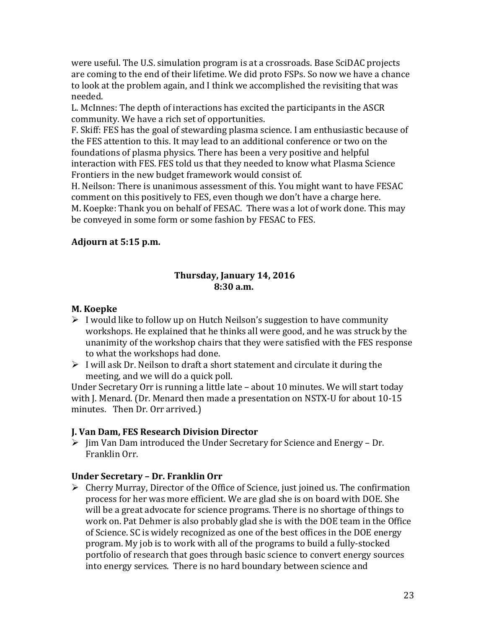were useful. The U.S. simulation program is at a crossroads. Base SciDAC projects are coming to the end of their lifetime. We did proto FSPs. So now we have a chance to look at the problem again, and I think we accomplished the revisiting that was needed.

L. McInnes: The depth of interactions has excited the participants in the ASCR community. We have a rich set of opportunities.

F. Skiff: FES has the goal of stewarding plasma science. I am enthusiastic because of the FES attention to this. It may lead to an additional conference or two on the foundations of plasma physics. There has been a very positive and helpful interaction with FES. FES told us that they needed to know what Plasma Science Frontiers in the new budget framework would consist of.

H. Neilson: There is unanimous assessment of this. You might want to have FESAC comment on this positively to FES, even though we don't have a charge here. M. Koepke: Thank you on behalf of FESAC. There was a lot of work done. This may be conveyed in some form or some fashion by FESAC to FES.

#### **Adjourn at 5:15 p.m.**

#### **Thursday, January 14, 2016 8:30 a.m.**

#### **M. Koepke**

- $\triangleright$  I would like to follow up on Hutch Neilson's suggestion to have community workshops. He explained that he thinks all were good, and he was struck by the unanimity of the workshop chairs that they were satisfied with the FES response to what the workshops had done.
- $\triangleright$  I will ask Dr. Neilson to draft a short statement and circulate it during the meeting, and we will do a quick poll.

Under Secretary Orr is running a little late – about 10 minutes. We will start today with J. Menard. (Dr. Menard then made a presentation on NSTX-U for about 10-15 minutes. Then Dr. Orr arrived.)

## **J. Van Dam, FES Research Division Director**

 $\triangleright$  Jim Van Dam introduced the Under Secretary for Science and Energy – Dr. Franklin Orr.

## **Under Secretary – Dr. Franklin Orr**

 $\triangleright$  Cherry Murray, Director of the Office of Science, just joined us. The confirmation process for her was more efficient. We are glad she is on board with DOE. She will be a great advocate for science programs. There is no shortage of things to work on. Pat Dehmer is also probably glad she is with the DOE team in the Office of Science. SC is widely recognized as one of the best offices in the DOE energy program. My job is to work with all of the programs to build a fully-stocked portfolio of research that goes through basic science to convert energy sources into energy services. There is no hard boundary between science and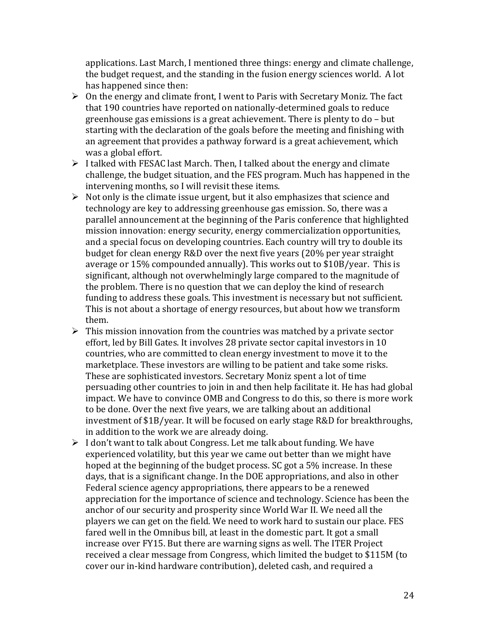applications. Last March, I mentioned three things: energy and climate challenge, the budget request, and the standing in the fusion energy sciences world. A lot has happened since then:

- $\triangleright$  On the energy and climate front, I went to Paris with Secretary Moniz. The fact that 190 countries have reported on nationally-determined goals to reduce greenhouse gas emissions is a great achievement. There is plenty to do – but starting with the declaration of the goals before the meeting and finishing with an agreement that provides a pathway forward is a great achievement, which was a global effort.
- $\triangleright$  I talked with FESAC last March. Then, I talked about the energy and climate challenge, the budget situation, and the FES program. Much has happened in the intervening months, so I will revisit these items.
- $\triangleright$  Not only is the climate issue urgent, but it also emphasizes that science and technology are key to addressing greenhouse gas emission. So, there was a parallel announcement at the beginning of the Paris conference that highlighted mission innovation: energy security, energy commercialization opportunities, and a special focus on developing countries. Each country will try to double its budget for clean energy R&D over the next five years (20% per year straight average or 15% compounded annually). This works out to \$10B/year. This is significant, although not overwhelmingly large compared to the magnitude of the problem. There is no question that we can deploy the kind of research funding to address these goals. This investment is necessary but not sufficient. This is not about a shortage of energy resources, but about how we transform them.
- $\triangleright$  This mission innovation from the countries was matched by a private sector effort, led by Bill Gates. It involves 28 private sector capital investors in 10 countries, who are committed to clean energy investment to move it to the marketplace. These investors are willing to be patient and take some risks. These are sophisticated investors. Secretary Moniz spent a lot of time persuading other countries to join in and then help facilitate it. He has had global impact. We have to convince OMB and Congress to do this, so there is more work to be done. Over the next five years, we are talking about an additional investment of \$1B/year. It will be focused on early stage R&D for breakthroughs, in addition to the work we are already doing.
- $\triangleright$  I don't want to talk about Congress. Let me talk about funding. We have experienced volatility, but this year we came out better than we might have hoped at the beginning of the budget process. SC got a 5% increase. In these days, that is a significant change. In the DOE appropriations, and also in other Federal science agency appropriations, there appears to be a renewed appreciation for the importance of science and technology. Science has been the anchor of our security and prosperity since World War II. We need all the players we can get on the field. We need to work hard to sustain our place. FES fared well in the Omnibus bill, at least in the domestic part. It got a small increase over FY15. But there are warning signs as well. The ITER Project received a clear message from Congress, which limited the budget to \$115M (to cover our in-kind hardware contribution), deleted cash, and required a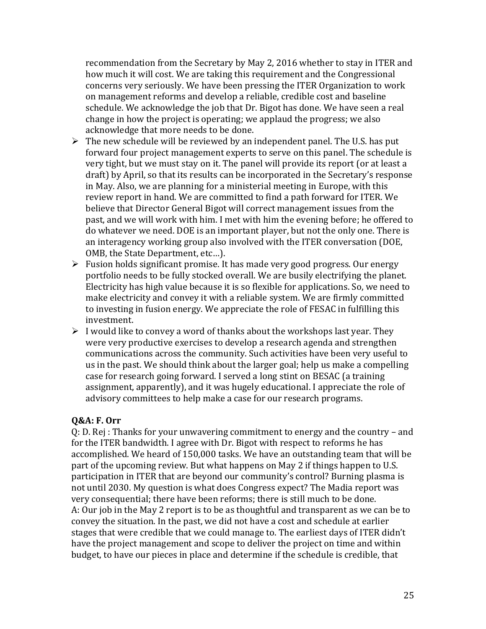recommendation from the Secretary by May 2, 2016 whether to stay in ITER and how much it will cost. We are taking this requirement and the Congressional concerns very seriously. We have been pressing the ITER Organization to work on management reforms and develop a reliable, credible cost and baseline schedule. We acknowledge the job that Dr. Bigot has done. We have seen a real change in how the project is operating; we applaud the progress; we also acknowledge that more needs to be done.

- $\triangleright$  The new schedule will be reviewed by an independent panel. The U.S. has put forward four project management experts to serve on this panel. The schedule is very tight, but we must stay on it. The panel will provide its report (or at least a draft) by April, so that its results can be incorporated in the Secretary's response in May. Also, we are planning for a ministerial meeting in Europe, with this review report in hand. We are committed to find a path forward for ITER. We believe that Director General Bigot will correct management issues from the past, and we will work with him. I met with him the evening before; he offered to do whatever we need. DOE is an important player, but not the only one. There is an interagency working group also involved with the ITER conversation (DOE, OMB, the State Department, etc…).
- $\triangleright$  Fusion holds significant promise. It has made very good progress. Our energy portfolio needs to be fully stocked overall. We are busily electrifying the planet. Electricity has high value because it is so flexible for applications. So, we need to make electricity and convey it with a reliable system. We are firmly committed to investing in fusion energy. We appreciate the role of FESAC in fulfilling this investment.
- $\triangleright$  I would like to convey a word of thanks about the workshops last year. They were very productive exercises to develop a research agenda and strengthen communications across the community. Such activities have been very useful to us in the past. We should think about the larger goal; help us make a compelling case for research going forward. I served a long stint on BESAC (a training assignment, apparently), and it was hugely educational. I appreciate the role of advisory committees to help make a case for our research programs.

#### **Q&A: F. Orr**

Q: D. Rej : Thanks for your unwavering commitment to energy and the country – and for the ITER bandwidth. I agree with Dr. Bigot with respect to reforms he has accomplished. We heard of 150,000 tasks. We have an outstanding team that will be part of the upcoming review. But what happens on May 2 if things happen to U.S. participation in ITER that are beyond our community's control? Burning plasma is not until 2030. My question is what does Congress expect? The Madia report was very consequential; there have been reforms; there is still much to be done. A: Our job in the May 2 report is to be as thoughtful and transparent as we can be to convey the situation. In the past, we did not have a cost and schedule at earlier stages that were credible that we could manage to. The earliest days of ITER didn't have the project management and scope to deliver the project on time and within budget, to have our pieces in place and determine if the schedule is credible, that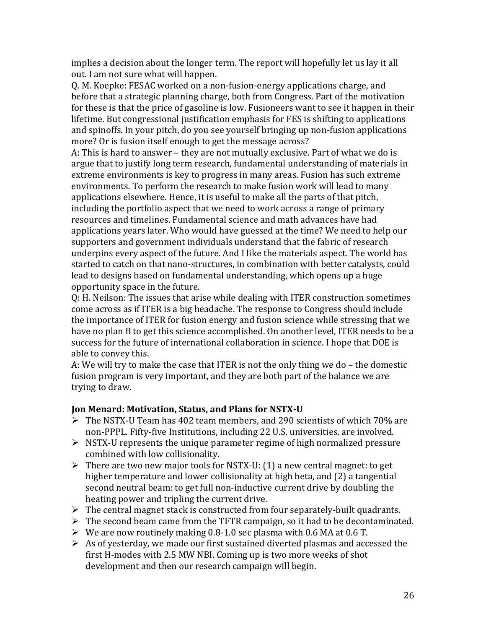implies a decision about the longer term. The report will hopefully let us lay it all out. I am not sure what will happen.

Q. M. Koepke: FESAC worked on a non-fusion-energy applications charge, and before that a strategic planning charge, both from Congress. Part of the motivation for these is that the price of gasoline is low. Fusioneers want to see it happen in their lifetime. But congressional justification emphasis for FES is shifting to applications and spinoffs. In your pitch, do you see yourself bringing up non-fusion applications more? Or is fusion itself enough to get the message across?

A: This is hard to answer – they are not mutually exclusive. Part of what we do is argue that to justify long term research, fundamental understanding of materials in extreme environments is key to progress in many areas. Fusion has such extreme environments. To perform the research to make fusion work will lead to many applications elsewhere. Hence, it is useful to make all the parts of that pitch, including the portfolio aspect that we need to work across a range of primary resources and timelines. Fundamental science and math advances have had applications years later. Who would have guessed at the time? We need to help our supporters and government individuals understand that the fabric of research underpins every aspect of the future. And I like the materials aspect. The world has started to catch on that nano-structures, in combination with better catalysts, could lead to designs based on fundamental understanding, which opens up a huge opportunity space in the future.

Q: H. Neilson: The issues that arise while dealing with ITER construction sometimes come across as if ITER is a big headache. The response to Congress should include the importance of ITER for fusion energy and fusion science while stressing that we have no plan B to get this science accomplished. On another level, ITER needs to be a success for the future of international collaboration in science. I hope that DOE is able to convey this.

A: We will try to make the case that ITER is not the only thing we do – the domestic fusion program is very important, and they are both part of the balance we are trying to draw.

#### **Jon Menard: Motivation, Status, and Plans for NSTX-U**

- $\triangleright$  The NSTX-U Team has 402 team members, and 290 scientists of which 70% are non-PPPL. Fifty-five Institutions, including 22 U.S. universities, are involved.
- $\triangleright$  NSTX-U represents the unique parameter regime of high normalized pressure combined with low collisionality.
- $\triangleright$  There are two new major tools for NSTX-U: (1) a new central magnet: to get higher temperature and lower collisionality at high beta, and (2) a tangential second neutral beam: to get full non-inductive current drive by doubling the heating power and tripling the current drive.
- $\triangleright$  The central magnet stack is constructed from four separately-built quadrants.
- $\triangleright$  The second beam came from the TFTR campaign, so it had to be decontaminated.
- $\triangleright$  We are now routinely making 0.8-1.0 sec plasma with 0.6 MA at 0.6 T.
- $\triangleright$  As of yesterday, we made our first sustained diverted plasmas and accessed the first H-modes with 2.5 MW NBI. Coming up is two more weeks of shot development and then our research campaign will begin.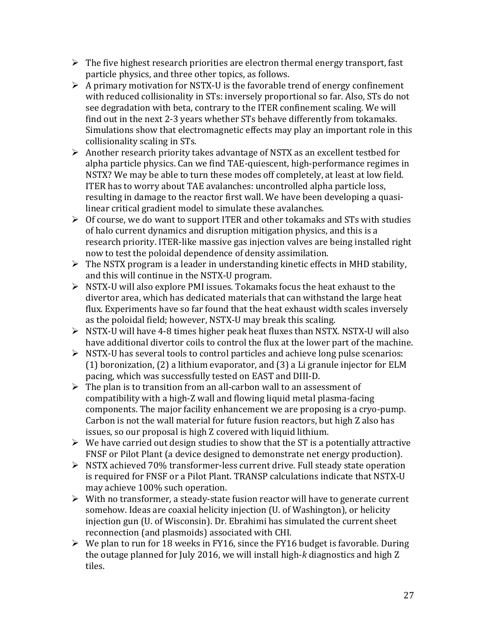- $\triangleright$  The five highest research priorities are electron thermal energy transport, fast particle physics, and three other topics, as follows.
- $\triangleright$  A primary motivation for NSTX-U is the favorable trend of energy confinement with reduced collisionality in STs: inversely proportional so far. Also, STs do not see degradation with beta, contrary to the ITER confinement scaling. We will find out in the next 2-3 years whether STs behave differently from tokamaks. Simulations show that electromagnetic effects may play an important role in this collisionality scaling in STs.
- Another research priority takes advantage of NSTX as an excellent testbed for alpha particle physics. Can we find TAE-quiescent, high-performance regimes in NSTX? We may be able to turn these modes off completely, at least at low field. ITER has to worry about TAE avalanches: uncontrolled alpha particle loss, resulting in damage to the reactor first wall. We have been developing a quasilinear critical gradient model to simulate these avalanches.
- $\triangleright$  Of course, we do want to support ITER and other tokamaks and STs with studies of halo current dynamics and disruption mitigation physics, and this is a research priority. ITER-like massive gas injection valves are being installed right now to test the poloidal dependence of density assimilation.
- $\triangleright$  The NSTX program is a leader in understanding kinetic effects in MHD stability, and this will continue in the NSTX-U program.
- NSTX-U will also explore PMI issues. Tokamaks focus the heat exhaust to the divertor area, which has dedicated materials that can withstand the large heat flux. Experiments have so far found that the heat exhaust width scales inversely as the poloidal field; however, NSTX-U may break this scaling.
- $\triangleright$  NSTX-U will have 4-8 times higher peak heat fluxes than NSTX. NSTX-U will also have additional divertor coils to control the flux at the lower part of the machine.
- $\triangleright$  NSTX-U has several tools to control particles and achieve long pulse scenarios: (1) boronization, (2) a lithium evaporator, and (3) a Li granule injector for ELM pacing, which was successfully tested on EAST and DIII-D.
- $\triangleright$  The plan is to transition from an all-carbon wall to an assessment of compatibility with a high-Z wall and flowing liquid metal plasma-facing components. The major facility enhancement we are proposing is a cryo-pump. Carbon is not the wall material for future fusion reactors, but high Z also has issues, so our proposal is high Z covered with liquid lithium.
- $\triangleright$  We have carried out design studies to show that the ST is a potentially attractive FNSF or Pilot Plant (a device designed to demonstrate net energy production).
- NSTX achieved 70% transformer-less current drive. Full steady state operation is required for FNSF or a Pilot Plant. TRANSP calculations indicate that NSTX-U may achieve 100% such operation.
- $\triangleright$  With no transformer, a steady-state fusion reactor will have to generate current somehow. Ideas are coaxial helicity injection (U. of Washington), or helicity injection gun (U. of Wisconsin). Dr. Ebrahimi has simulated the current sheet reconnection (and plasmoids) associated with CHI.
- $\triangleright$  We plan to run for 18 weeks in FY16, since the FY16 budget is favorable. During the outage planned for July 2016, we will install high-*k* diagnostics and high Z tiles.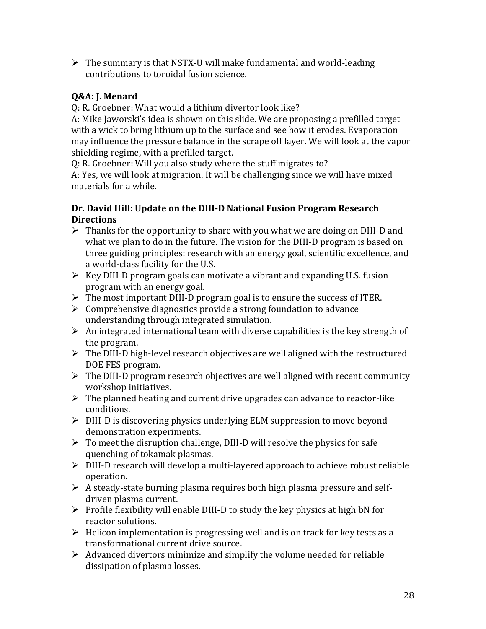$\triangleright$  The summary is that NSTX-U will make fundamental and world-leading contributions to toroidal fusion science.

## **Q&A: J. Menard**

Q: R. Groebner: What would a lithium divertor look like?

A: Mike Jaworski's idea is shown on this slide. We are proposing a prefilled target with a wick to bring lithium up to the surface and see how it erodes. Evaporation may influence the pressure balance in the scrape off layer. We will look at the vapor shielding regime, with a prefilled target.

Q: R. Groebner: Will you also study where the stuff migrates to?

A: Yes, we will look at migration. It will be challenging since we will have mixed materials for a while.

## **Dr. David Hill: Update on the DIII-D National Fusion Program Research Directions**

- $\triangleright$  Thanks for the opportunity to share with you what we are doing on DIII-D and what we plan to do in the future. The vision for the DIII-D program is based on three guiding principles: research with an energy goal, scientific excellence, and a world-class facility for the U.S.
- $\triangleright$  Key DIII-D program goals can motivate a vibrant and expanding U.S. fusion program with an energy goal.
- The most important DIII-D program goal is to ensure the success of ITER.
- $\triangleright$  Comprehensive diagnostics provide a strong foundation to advance understanding through integrated simulation.
- $\triangleright$  An integrated international team with diverse capabilities is the key strength of the program.
- $\triangleright$  The DIII-D high-level research objectives are well aligned with the restructured DOE FES program.
- $\triangleright$  The DIII-D program research objectives are well aligned with recent community workshop initiatives.
- $\triangleright$  The planned heating and current drive upgrades can advance to reactor-like conditions.
- $\triangleright$  DIII-D is discovering physics underlying ELM suppression to move beyond demonstration experiments.
- $\triangleright$  To meet the disruption challenge, DIII-D will resolve the physics for safe quenching of tokamak plasmas.
- $\triangleright$  DIII-D research will develop a multi-layered approach to achieve robust reliable operation.
- $\triangleright$  A steady-state burning plasma requires both high plasma pressure and selfdriven plasma current.
- $\triangleright$  Profile flexibility will enable DIII-D to study the key physics at high bN for reactor solutions.
- $\triangleright$  Helicon implementation is progressing well and is on track for key tests as a transformational current drive source.
- $\triangleright$  Advanced divertors minimize and simplify the volume needed for reliable dissipation of plasma losses.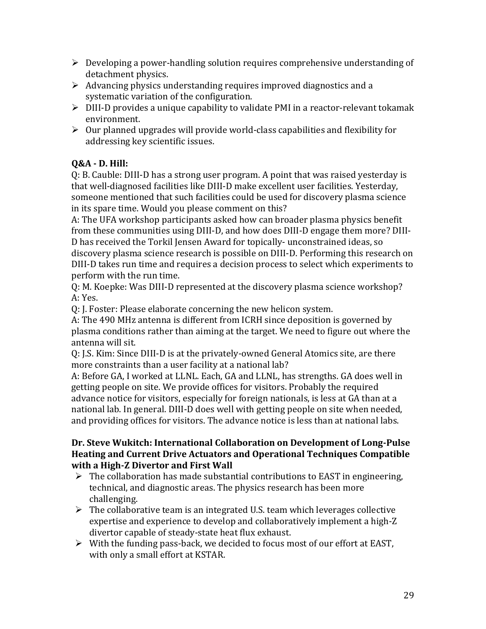- $\triangleright$  Developing a power-handling solution requires comprehensive understanding of detachment physics.
- $\triangleright$  Advancing physics understanding requires improved diagnostics and a systematic variation of the configuration.
- DIII-D provides a unique capability to validate PMI in a reactor-relevant tokamak environment.
- $\triangleright$  Our planned upgrades will provide world-class capabilities and flexibility for addressing key scientific issues.

# **Q&A - D. Hill:**

Q: B. Cauble: DIII-D has a strong user program. A point that was raised yesterday is that well-diagnosed facilities like DIII-D make excellent user facilities. Yesterday, someone mentioned that such facilities could be used for discovery plasma science in its spare time. Would you please comment on this?

A: The UFA workshop participants asked how can broader plasma physics benefit from these communities using DIII-D, and how does DIII-D engage them more? DIII-D has received the Torkil Jensen Award for topically- unconstrained ideas, so discovery plasma science research is possible on DIII-D. Performing this research on DIII-D takes run time and requires a decision process to select which experiments to perform with the run time.

Q: M. Koepke: Was DIII-D represented at the discovery plasma science workshop? A: Yes.

Q: J. Foster: Please elaborate concerning the new helicon system.

A: The 490 MHz antenna is different from ICRH since deposition is governed by plasma conditions rather than aiming at the target. We need to figure out where the antenna will sit.

Q: J.S. Kim: Since DIII-D is at the privately-owned General Atomics site, are there more constraints than a user facility at a national lab?

A: Before GA, I worked at LLNL. Each, GA and LLNL, has strengths. GA does well in getting people on site. We provide offices for visitors. Probably the required advance notice for visitors, especially for foreign nationals, is less at GA than at a national lab. In general. DIII-D does well with getting people on site when needed, and providing offices for visitors. The advance notice is less than at national labs.

#### **Dr. Steve Wukitch: International Collaboration on Development of Long-Pulse Heating and Current Drive Actuators and Operational Techniques Compatible with a High-Z Divertor and First Wall**

- $\triangleright$  The collaboration has made substantial contributions to EAST in engineering, technical, and diagnostic areas. The physics research has been more challenging.
- $\triangleright$  The collaborative team is an integrated U.S. team which leverages collective expertise and experience to develop and collaboratively implement a high-Z divertor capable of steady-state heat flux exhaust.
- $\triangleright$  With the funding pass-back, we decided to focus most of our effort at EAST, with only a small effort at KSTAR.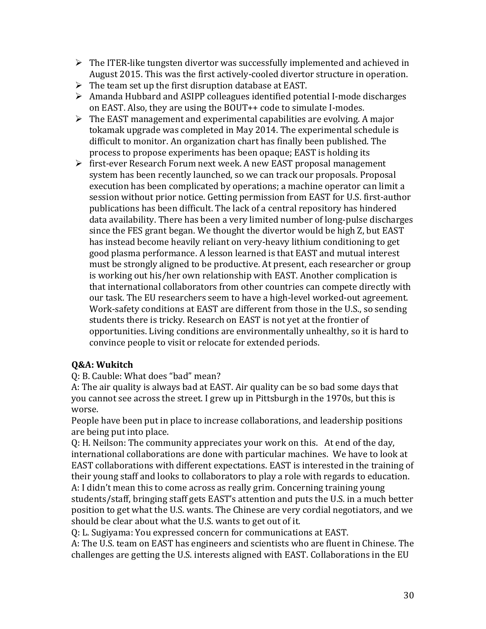- $\triangleright$  The ITER-like tungsten divertor was successfully implemented and achieved in August 2015. This was the first actively-cooled divertor structure in operation.
- $\triangleright$  The team set up the first disruption database at EAST.
- $\triangleright$  Amanda Hubbard and ASIPP colleagues identified potential I-mode discharges on EAST. Also, they are using the BOUT++ code to simulate I-modes.
- $\triangleright$  The EAST management and experimental capabilities are evolving. A major tokamak upgrade was completed in May 2014. The experimental schedule is difficult to monitor. An organization chart has finally been published. The process to propose experiments has been opaque; EAST is holding its
- $\triangleright$  first-ever Research Forum next week. A new EAST proposal management system has been recently launched, so we can track our proposals. Proposal execution has been complicated by operations; a machine operator can limit a session without prior notice. Getting permission from EAST for U.S. first-author publications has been difficult. The lack of a central repository has hindered data availability. There has been a very limited number of long-pulse discharges since the FES grant began. We thought the divertor would be high Z, but EAST has instead become heavily reliant on very-heavy lithium conditioning to get good plasma performance. A lesson learned is that EAST and mutual interest must be strongly aligned to be productive. At present, each researcher or group is working out his/her own relationship with EAST. Another complication is that international collaborators from other countries can compete directly with our task. The EU researchers seem to have a high-level worked-out agreement. Work-safety conditions at EAST are different from those in the U.S., so sending students there is tricky. Research on EAST is not yet at the frontier of opportunities. Living conditions are environmentally unhealthy, so it is hard to convince people to visit or relocate for extended periods.

## **Q&A: Wukitch**

Q: B. Cauble: What does "bad" mean?

A: The air quality is always bad at EAST. Air quality can be so bad some days that you cannot see across the street. I grew up in Pittsburgh in the 1970s, but this is worse.

People have been put in place to increase collaborations, and leadership positions are being put into place.

Q: H. Neilson: The community appreciates your work on this. At end of the day, international collaborations are done with particular machines. We have to look at EAST collaborations with different expectations. EAST is interested in the training of their young staff and looks to collaborators to play a role with regards to education. A: I didn't mean this to come across as really grim. Concerning training young students/staff, bringing staff gets EAST's attention and puts the U.S. in a much better position to get what the U.S. wants. The Chinese are very cordial negotiators, and we should be clear about what the U.S. wants to get out of it.

Q: L. Sugiyama: You expressed concern for communications at EAST.

A: The U.S. team on EAST has engineers and scientists who are fluent in Chinese. The challenges are getting the U.S. interests aligned with EAST. Collaborations in the EU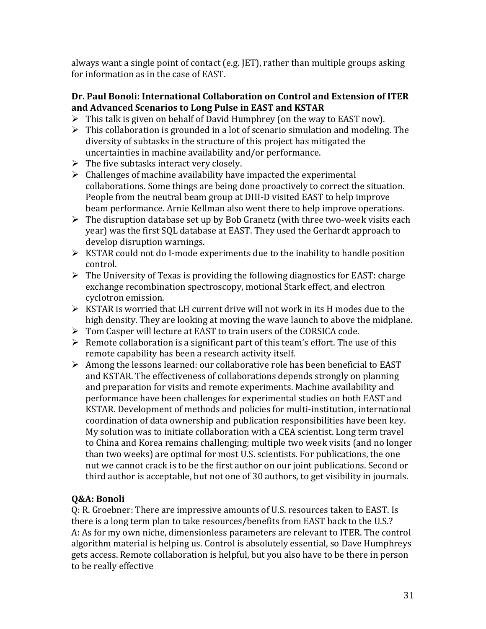always want a single point of contact (e.g. JET), rather than multiple groups asking for information as in the case of EAST.

## **Dr. Paul Bonoli: International Collaboration on Control and Extension of ITER and Advanced Scenarios to Long Pulse in EAST and KSTAR**

- $\triangleright$  This talk is given on behalf of David Humphrey (on the way to EAST now).
- $\triangleright$  This collaboration is grounded in a lot of scenario simulation and modeling. The diversity of subtasks in the structure of this project has mitigated the uncertainties in machine availability and/or performance.
- $\triangleright$  The five subtasks interact very closely.
- $\triangleright$  Challenges of machine availability have impacted the experimental collaborations. Some things are being done proactively to correct the situation. People from the neutral beam group at DIII-D visited EAST to help improve beam performance. Arnie Kellman also went there to help improve operations.
- $\triangleright$  The disruption database set up by Bob Granetz (with three two-week visits each year) was the first SQL database at EAST. They used the Gerhardt approach to develop disruption warnings.
- $\triangleright$  KSTAR could not do I-mode experiments due to the inability to handle position control.
- $\triangleright$  The University of Texas is providing the following diagnostics for EAST: charge exchange recombination spectroscopy, motional Stark effect, and electron cyclotron emission.
- $\triangleright$  KSTAR is worried that LH current drive will not work in its H modes due to the high density. They are looking at moving the wave launch to above the midplane.
- Tom Casper will lecture at EAST to train users of the CORSICA code.
- $\triangleright$  Remote collaboration is a significant part of this team's effort. The use of this remote capability has been a research activity itself.
- $\triangleright$  Among the lessons learned: our collaborative role has been beneficial to EAST and KSTAR. The effectiveness of collaborations depends strongly on planning and preparation for visits and remote experiments. Machine availability and performance have been challenges for experimental studies on both EAST and KSTAR. Development of methods and policies for multi-institution, international coordination of data ownership and publication responsibilities have been key. My solution was to initiate collaboration with a CEA scientist. Long term travel to China and Korea remains challenging; multiple two week visits (and no longer than two weeks) are optimal for most U.S. scientists. For publications, the one nut we cannot crack is to be the first author on our joint publications. Second or third author is acceptable, but not one of 30 authors, to get visibility in journals.

# **Q&A: Bonoli**

Q: R. Groebner: There are impressive amounts of U.S. resources taken to EAST. Is there is a long term plan to take resources/benefits from EAST back to the U.S.? A: As for my own niche, dimensionless parameters are relevant to ITER. The control algorithm material is helping us. Control is absolutely essential, so Dave Humphreys gets access. Remote collaboration is helpful, but you also have to be there in person to be really effective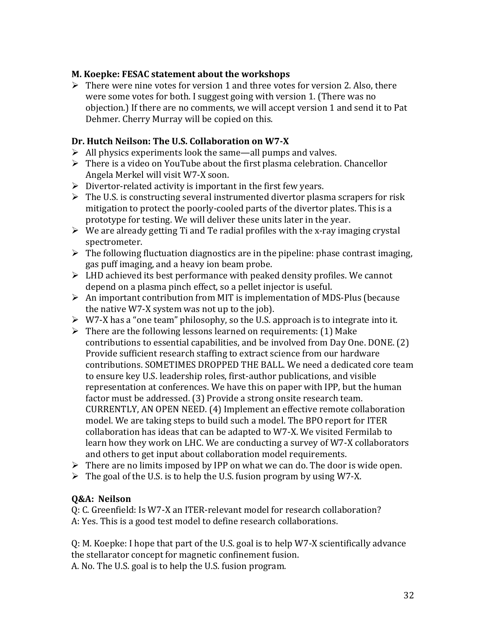#### **M. Koepke: FESAC statement about the workshops**

 $\triangleright$  There were nine votes for version 1 and three votes for version 2. Also, there were some votes for both. I suggest going with version 1. (There was no objection.) If there are no comments, we will accept version 1 and send it to Pat Dehmer. Cherry Murray will be copied on this.

#### **Dr. Hutch Neilson: The U.S. Collaboration on W7-X**

- $\triangleright$  All physics experiments look the same—all pumps and valves.
- $\triangleright$  There is a video on YouTube about the first plasma celebration. Chancellor Angela Merkel will visit W7-X soon.
- $\triangleright$  Divertor-related activity is important in the first few years.
- $\triangleright$  The U.S. is constructing several instrumented divertor plasma scrapers for risk mitigation to protect the poorly-cooled parts of the divertor plates. This is a prototype for testing. We will deliver these units later in the year.
- $\triangleright$  We are already getting Ti and Te radial profiles with the x-ray imaging crystal spectrometer.
- $\triangleright$  The following fluctuation diagnostics are in the pipeline: phase contrast imaging, gas puff imaging, and a heavy ion beam probe.
- $\triangleright$  LHD achieved its best performance with peaked density profiles. We cannot depend on a plasma pinch effect, so a pellet injector is useful.
- $\triangleright$  An important contribution from MIT is implementation of MDS-Plus (because the native W7-X system was not up to the job).
- $\triangleright$  W7-X has a "one team" philosophy, so the U.S. approach is to integrate into it.
- $\triangleright$  There are the following lessons learned on requirements: (1) Make contributions to essential capabilities, and be involved from Day One. DONE. (2) Provide sufficient research staffing to extract science from our hardware contributions. SOMETIMES DROPPED THE BALL. We need a dedicated core team to ensure key U.S. leadership roles, first-author publications, and visible representation at conferences. We have this on paper with IPP, but the human factor must be addressed. (3) Provide a strong onsite research team. CURRENTLY, AN OPEN NEED. (4) Implement an effective remote collaboration model. We are taking steps to build such a model. The BPO report for ITER collaboration has ideas that can be adapted to W7-X. We visited Fermilab to learn how they work on LHC. We are conducting a survey of W7-X collaborators and others to get input about collaboration model requirements.
- $\triangleright$  There are no limits imposed by IPP on what we can do. The door is wide open.
- $\triangleright$  The goal of the U.S. is to help the U.S. fusion program by using W7-X.

## **Q&A: Neilson**

Q: C. Greenfield: Is W7-X an ITER-relevant model for research collaboration? A: Yes. This is a good test model to define research collaborations.

Q: M. Koepke: I hope that part of the U.S. goal is to help W7-X scientifically advance the stellarator concept for magnetic confinement fusion. A. No. The U.S. goal is to help the U.S. fusion program.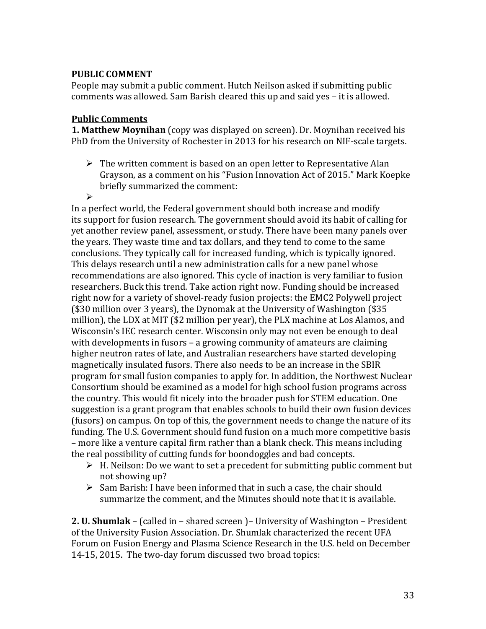#### **PUBLIC COMMENT**

People may submit a public comment. Hutch Neilson asked if submitting public comments was allowed. Sam Barish cleared this up and said yes – it is allowed.

#### **Public Comments**

**1. Matthew Moynihan** (copy was displayed on screen). Dr. Moynihan received his PhD from the University of Rochester in 2013 for his research on NIF-scale targets.

- $\triangleright$  The written comment is based on an open letter to Representative Alan Grayson, as a comment on his "Fusion Innovation Act of 2015." Mark Koepke briefly summarized the comment:
- $\triangleright$

In a perfect world, the Federal government should both increase and modify its support for fusion research. The government should avoid its habit of calling for yet another review panel, assessment, or study. There have been many panels over the years. They waste time and tax dollars, and they tend to come to the same conclusions. They typically call for increased funding, which is typically ignored. This delays research until a new administration calls for a new panel whose recommendations are also ignored. This cycle of inaction is very familiar to fusion researchers. Buck this trend. Take action right now. Funding should be increased right now for a variety of shovel-ready fusion projects: the EMC2 Polywell project (\$30 million over 3 years), the Dynomak at the University of Washington (\$35 million), the LDX at MIT (\$2 million per year), the PLX machine at Los Alamos, and Wisconsin's IEC research center. Wisconsin only may not even be enough to deal with developments in fusors – a growing community of amateurs are claiming higher neutron rates of late, and Australian researchers have started developing magnetically insulated fusors. There also needs to be an increase in the SBIR program for small fusion companies to apply for. In addition, the Northwest Nuclear Consortium should be examined as a model for high school fusion programs across the country. This would fit nicely into the broader push for STEM education. One suggestion is a grant program that enables schools to build their own fusion devices (fusors) on campus. On top of this, the government needs to change the nature of its funding. The U.S. Government should fund fusion on a much more competitive basis – more like a venture capital firm rather than a blank check. This means including the real possibility of cutting funds for boondoggles and bad concepts.

- $\triangleright$  H. Neilson: Do we want to set a precedent for submitting public comment but not showing up?
- $\triangleright$  Sam Barish: I have been informed that in such a case, the chair should summarize the comment, and the Minutes should note that it is available.

**2. U. Shumlak** – (called in – shared screen )– University of Washington – President of the University Fusion Association. Dr. Shumlak characterized the recent UFA Forum on Fusion Energy and Plasma Science Research in the U.S. held on December 14-15, 2015. The two-day forum discussed two broad topics: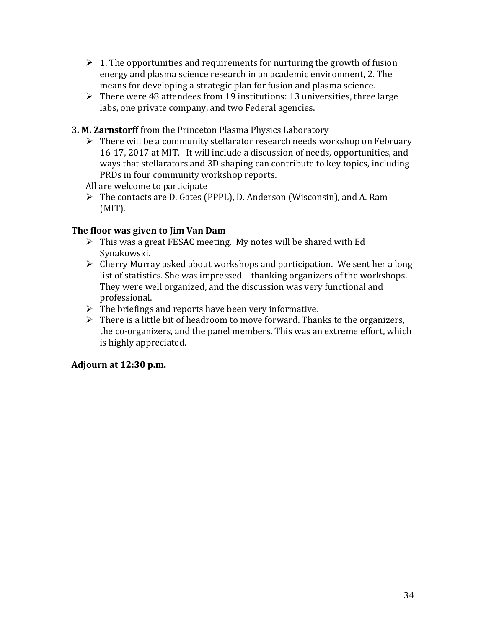- $\geq 1$ . The opportunities and requirements for nurturing the growth of fusion energy and plasma science research in an academic environment, 2. The means for developing a strategic plan for fusion and plasma science.
- $\triangleright$  There were 48 attendees from 19 institutions: 13 universities, three large labs, one private company, and two Federal agencies.
- **3. M. Zarnstorff** from the Princeton Plasma Physics Laboratory
	- $\triangleright$  There will be a community stellarator research needs workshop on February 16-17, 2017 at MIT. It will include a discussion of needs, opportunities, and ways that stellarators and 3D shaping can contribute to key topics, including PRDs in four community workshop reports.

All are welcome to participate

 The contacts are D. Gates (PPPL), D. Anderson (Wisconsin), and A. Ram (MIT).

## **The floor was given to Jim Van Dam**

- $\triangleright$  This was a great FESAC meeting. My notes will be shared with Ed Synakowski.
- Cherry Murray asked about workshops and participation. We sent her a long list of statistics. She was impressed – thanking organizers of the workshops. They were well organized, and the discussion was very functional and professional.
- $\triangleright$  The briefings and reports have been very informative.
- $\triangleright$  There is a little bit of headroom to move forward. Thanks to the organizers, the co-organizers, and the panel members. This was an extreme effort, which is highly appreciated.

## **Adjourn at 12:30 p.m.**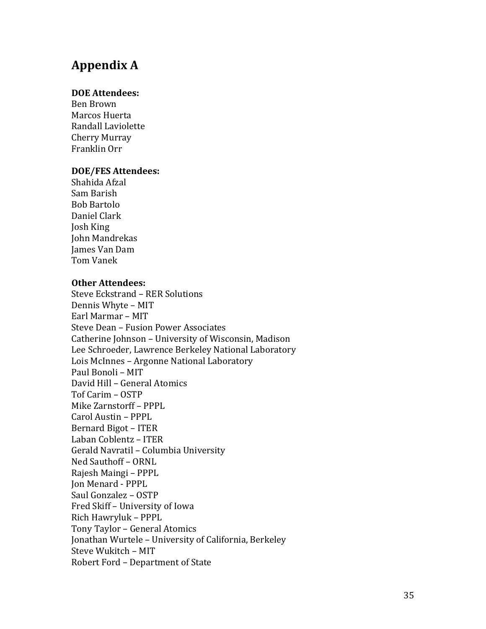# **Appendix A**

#### **DOE Attendees:**

Ben Brown Marcos Huerta Randall Laviolette Cherry Murray Franklin Orr

#### **DOE/FES Attendees:**

Shahida Afzal Sam Barish Bob Bartolo Daniel Clark Josh King John Mandrekas James Van Dam Tom Vanek

#### **Other Attendees:**

Steve Eckstrand – RER Solutions Dennis Whyte – MIT Earl Marmar – MIT Steve Dean – Fusion Power Associates Catherine Johnson – University of Wisconsin, Madison Lee Schroeder, Lawrence Berkeley National Laboratory Lois McInnes – Argonne National Laboratory Paul Bonoli – MIT David Hill – General Atomics Tof Carim – OSTP Mike Zarnstorff – PPPL Carol Austin – PPPL Bernard Bigot – ITER Laban Coblentz – ITER Gerald Navratil – Columbia University Ned Sauthoff – ORNL Rajesh Maingi – PPPL Jon Menard - PPPL Saul Gonzalez – OSTP Fred Skiff – University of Iowa Rich Hawryluk – PPPL Tony Taylor – General Atomics Jonathan Wurtele – University of California, Berkeley Steve Wukitch – MIT Robert Ford – Department of State